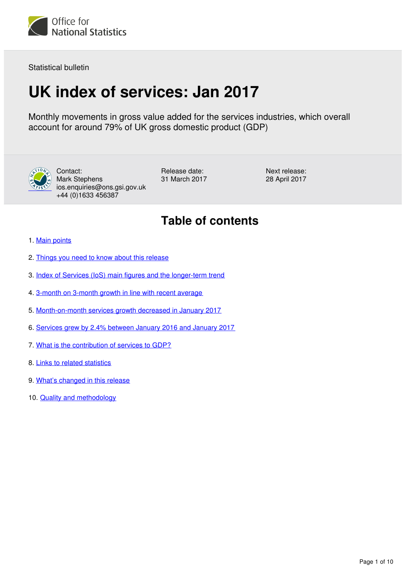

Statistical bulletin

# **UK index of services: Jan 2017**

Monthly movements in gross value added for the services industries, which overall account for around 79% of UK gross domestic product (GDP)



Contact: Mark Stephens ios.enquiries@ons.gsi.gov.uk +44 (0)1633 456387

Release date: 31 March 2017 Next release: 28 April 2017

# **Table of contents**

- 1. [Main points](#page-1-0)
- 2. [Things you need to know about this release](#page-1-1)
- 3. [Index of Services \(IoS\) main figures and the longer-term trend](#page-1-2)
- 4. [3-month on 3-month growth in line with recent average](#page-3-0)
- 5. [Month-on-month services growth decreased in January 2017](#page-5-0)
- 6. [Services grew by 2.4% between January 2016 and January 2017](#page-7-0)
- 7. [What is the contribution of services to GDP?](#page-8-0)
- 8. [Links to related statistics](#page-8-1)
- 9. [What's changed in this release](#page-8-2)
- 10. [Quality and methodology](#page-9-0)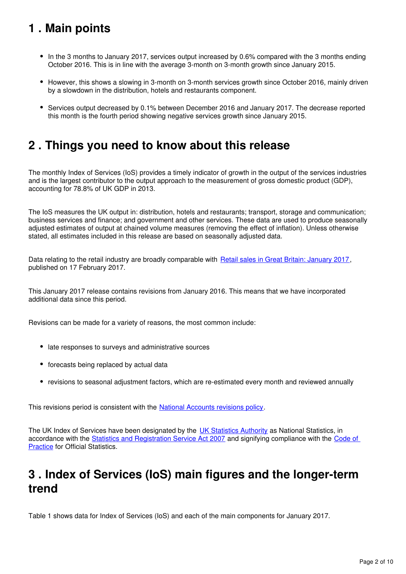# <span id="page-1-0"></span>**1 . Main points**

- In the 3 months to January 2017, services output increased by 0.6% compared with the 3 months ending October 2016. This is in line with the average 3-month on 3-month growth since January 2015.
- However, this shows a slowing in 3-month on 3-month services growth since October 2016, mainly driven by a slowdown in the distribution, hotels and restaurants component.
- Services output decreased by 0.1% between December 2016 and January 2017. The decrease reported this month is the fourth period showing negative services growth since January 2015.

# <span id="page-1-1"></span>**2 . Things you need to know about this release**

The monthly Index of Services (IoS) provides a timely indicator of growth in the output of the services industries and is the largest contributor to the output approach to the measurement of gross domestic product (GDP), accounting for 78.8% of UK GDP in 2013.

The IoS measures the UK output in: distribution, hotels and restaurants; transport, storage and communication; business services and finance; and government and other services. These data are used to produce seasonally adjusted estimates of output at chained volume measures (removing the effect of inflation). Unless otherwise stated, all estimates included in this release are based on seasonally adjusted data.

Data relating to the retail industry are broadly comparable with [Retail sales in Great Britain: January 2017](https://www.ons.gov.uk/businessindustryandtrade/retailindustry/bulletins/retailsales/previousReleases), published on 17 February 2017.

This January 2017 release contains revisions from January 2016. This means that we have incorporated additional data since this period.

Revisions can be made for a variety of reasons, the most common include:

- late responses to surveys and administrative sources
- forecasts being replaced by actual data
- revisions to seasonal adjustment factors, which are re-estimated every month and reviewed annually

This revisions period is consistent with the National Accounts revisions policy[.](https://www.ons.gov.uk/methodology/methodologytopicsandstatisticalconcepts/revisions/revisionspoliciesforeconomicstatistics)

The UK Index of Services have been designated by the [UK Statistics Authority](https://www.statisticsauthority.gov.uk/national-statistician/types-of-official-statistics/) as National Statistics, in accordance with the [Statistics and Registration Service Act 2007](https://www.statisticsauthority.gov.uk/about-the-authority/uk-statistical-system/legislation/key-legislative-documents/) and signifying compliance with the [Code of](https://www.statisticsauthority.gov.uk/monitoring-and-assessment/code-of-practice/)  [Practice](https://www.statisticsauthority.gov.uk/monitoring-and-assessment/code-of-practice/) for Official Statistics.

# <span id="page-1-2"></span>**3 . Index of Services (IoS) main figures and the longer-term trend**

Table 1 shows data for Index of Services (IoS) and each of the main components for January 2017.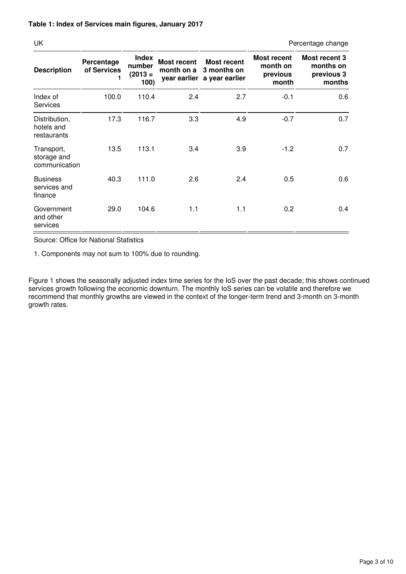UK Percentage change

| <b>Description</b>                         | Percentage<br>of Services | <b>Index</b><br>number<br>$(2013 =$<br>100) | Most recent<br>month on a | <b>Most recent</b><br>3 months on<br>year earlier a year earlier | <b>Most recent</b><br>month on<br>previous<br>month | Most recent 3<br>months on<br>previous 3<br>months |
|--------------------------------------------|---------------------------|---------------------------------------------|---------------------------|------------------------------------------------------------------|-----------------------------------------------------|----------------------------------------------------|
| Index of<br><b>Services</b>                | 100.0                     | 110.4                                       | 2.4                       | 2.7                                                              | $-0.1$                                              | 0.6                                                |
| Distribution,<br>hotels and<br>restaurants | 17.3                      | 116.7                                       | 3.3                       | 4.9                                                              | $-0.7$                                              | 0.7                                                |
| Transport,<br>storage and<br>communication | 13.5                      | 113.1                                       | 3.4                       | 3.9                                                              | $-1.2$                                              | 0.7                                                |
| <b>Business</b><br>services and<br>finance | 40.3                      | 111.0                                       | 2.6                       | 2.4                                                              | 0.5                                                 | 0.6                                                |
| Government<br>and other<br>services        | 29.0                      | 104.6                                       | 1.1                       | 1.1                                                              | 0.2                                                 | 0.4                                                |

Source: Office for National Statistics

1. Components may not sum to 100% due to rounding.

Figure 1 shows the seasonally adjusted index time series for the IoS over the past decade; this shows continued services growth following the economic downturn. The monthly IoS series can be volatile and therefore we recommend that monthly growths are viewed in the context of the longer-term trend and 3-month on 3-month growth rates.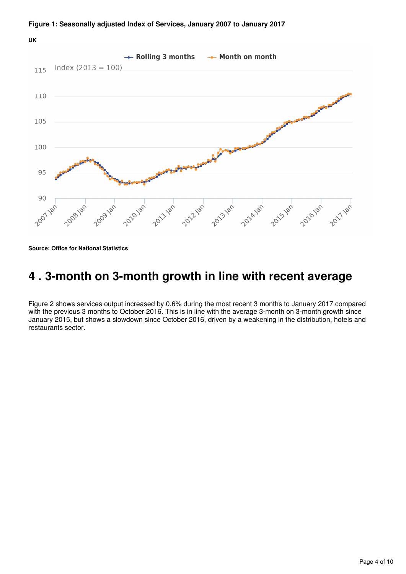**UK**



**Source: Office for National Statistics**

# <span id="page-3-0"></span>**4 . 3-month on 3-month growth in line with recent average**

Figure 2 shows services output increased by 0.6% during the most recent 3 months to January 2017 compared with the previous 3 months to October 2016. This is in line with the average 3-month on 3-month growth since January 2015, but shows a slowdown since October 2016, driven by a weakening in the distribution, hotels and restaurants sector.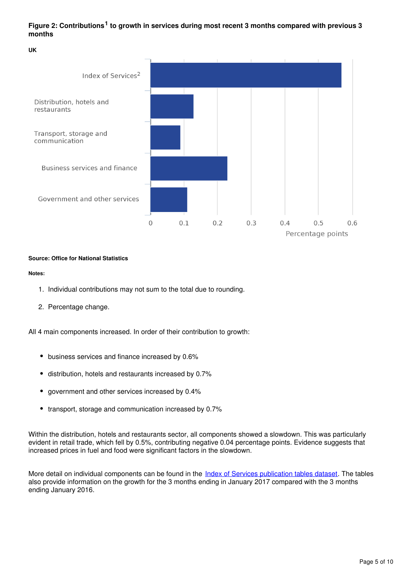## Figure 2: Contributions<sup>1</sup> to growth in services during most recent 3 months compared with previous 3 **months**

**UK**



### **Source: Office for National Statistics**

**Notes:**

- 1. Individual contributions may not sum to the total due to rounding.
- 2. Percentage change.

All 4 main components increased. In order of their contribution to growth:

- business services and finance increased by 0.6%
- distribution, hotels and restaurants increased by 0.7%
- government and other services increased by 0.4%
- transport, storage and communication increased by 0.7%

Within the distribution, hotels and restaurants sector, all components showed a slowdown. This was particularly evident in retail trade, which fell by 0.5%, contributing negative 0.04 percentage points. Evidence suggests that increased prices in fuel and food were significant factors in the slowdown.

More detail on individual components can be found in the *[Index of Services publication tables dataset](http://www.ons.gov.uk/economy/economicoutputandproductivity/output/datasets/indexofservicespublicationtables)*. The tables also provide information on the growth for the 3 months ending in January 2017 compared with the 3 months ending January 2016.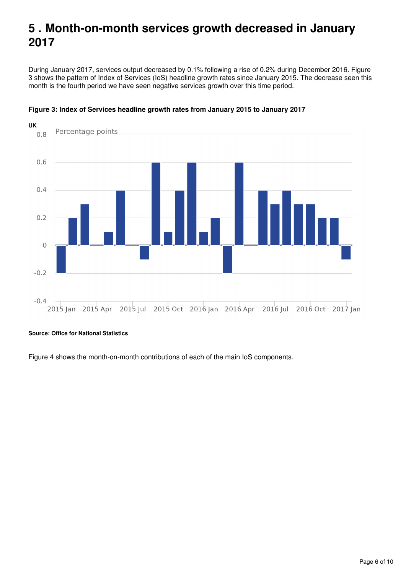# <span id="page-5-0"></span>**5 . Month-on-month services growth decreased in January 2017**

During January 2017, services output decreased by 0.1% following a rise of 0.2% during December 2016. Figure 3 shows the pattern of Index of Services (IoS) headline growth rates since January 2015. The decrease seen this month is the fourth period we have seen negative services growth over this time period.



### **Figure 3: Index of Services headline growth rates from January 2015 to January 2017**

**Source: Office for National Statistics**

Figure 4 shows the month-on-month contributions of each of the main IoS components.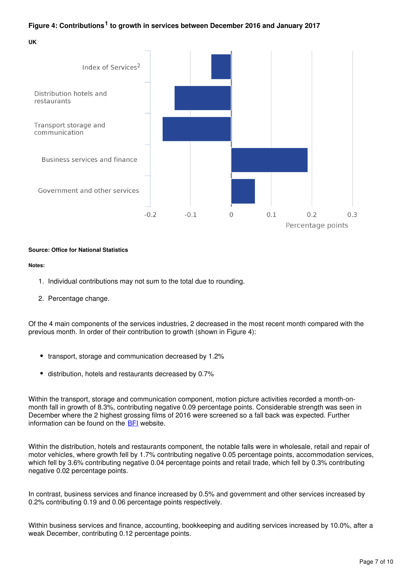## Figure 4: Contributions<sup>1</sup> to growth in services between December 2016 and January 2017

**UK**



### **Source: Office for National Statistics**

### **Notes:**

- 1. Individual contributions may not sum to the total due to rounding.
- 2. Percentage change.

Of the 4 main components of the services industries, 2 decreased in the most recent month compared with the previous month. In order of their contribution to growth (shown in Figure 4):

- transport, storage and communication decreased by 1.2%
- distribution, hotels and restaurants decreased by 0.7%

Within the transport, storage and communication component, motion picture activities recorded a month-onmonth fall in growth of 8.3%, contributing negative 0.09 percentage points. Considerable strength was seen in December where the 2 highest grossing films of 2016 were screened so a fall back was expected. Further information can be found on the  $BFI$  website.

Within the distribution, hotels and restaurants component, the notable falls were in wholesale, retail and repair of motor vehicles, where growth fell by 1.7% contributing negative 0.05 percentage points, accommodation services, which fell by 3.6% contributing negative 0.04 percentage points and retail trade, which fell by 0.3% contributing negative 0.02 percentage points.

In contrast, business services and finance increased by 0.5% and government and other services increased by 0.2% contributing 0.19 and 0.06 percentage points respectively.

Within business services and finance, accounting, bookkeeping and auditing services increased by 10.0%, after a weak December, contributing 0.12 percentage points.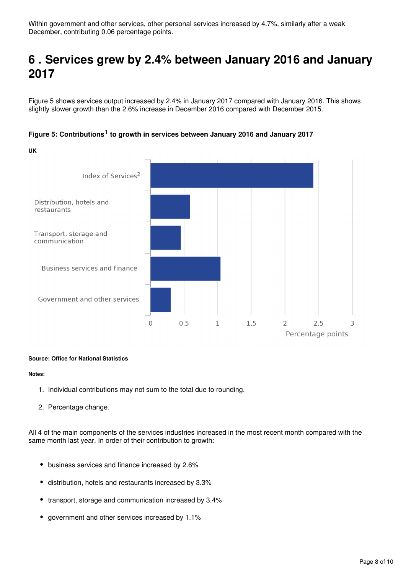# <span id="page-7-0"></span>**6 . Services grew by 2.4% between January 2016 and January 2017**

Figure 5 shows services output increased by 2.4% in January 2017 compared with January 2016. This shows slightly slower growth than the 2.6% increase in December 2016 compared with December 2015.



## Figure 5: Contributions<sup>1</sup> to growth in services between January 2016 and January 2017

### **Source: Office for National Statistics**

### **Notes:**

- 1. Individual contributions may not sum to the total due to rounding.
- 2. Percentage change.

All 4 of the main components of the services industries increased in the most recent month compared with the same month last year. In order of their contribution to growth:

- business services and finance increased by 2.6%
- distribution, hotels and restaurants increased by 3.3%
- transport, storage and communication increased by 3.4%
- government and other services increased by 1.1%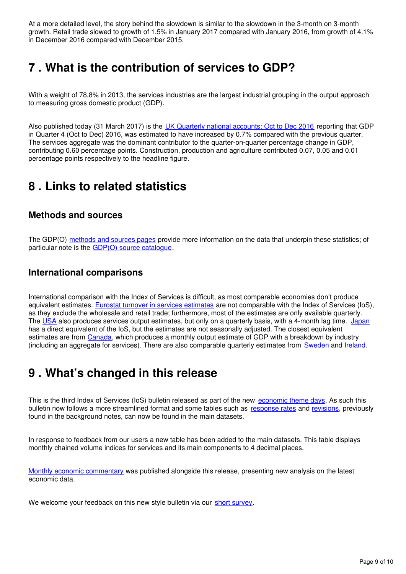At a more detailed level, the story behind the slowdown is similar to the slowdown in the 3-month on 3-month growth. Retail trade slowed to growth of 1.5% in January 2017 compared with January 2016, from growth of 4.1% in December 2016 compared with December 2015.

# <span id="page-8-0"></span>**7 . What is the contribution of services to GDP?**

With a weight of 78.8% in 2013, the services industries are the largest industrial grouping in the output approach to measuring gross domestic product (GDP).

Also published today (31 March 2017) is the [UK Quarterly national accounts: Oct to Dec 2016](http://www.ons.gov.uk/economy/grossdomesticproductgdp/bulletins/quarterlynationalaccounts/previousReleases) reporting that GDP in Quarter 4 (Oct to Dec) 2016, was estimated to have increased by 0.7% compared with the previous quarter. The services aggregate was the dominant contributor to the quarter-on-quarter percentage change in GDP, contributing 0.60 percentage points. Construction, production and agriculture contributed 0.07, 0.05 and 0.01 percentage points respectively to the headline figure.

# <span id="page-8-1"></span>**8 . Links to related statistics**

# **Methods and sources**

The GDP(O) [methods and sources pages](https://www.ons.gov.uk/economy/economicoutputandproductivity/output/methodologies/indexofservicesios) provide more information on the data that underpin these statistics; of particular note is the GDP(O) source catalogue.

# **International comparisons**

International comparison with the Index of Services is difficult, as most comparable economies don't produce equivalent estimates. [Eurostat turnover in services estimates](http://ec.europa.eu/eurostat/web/products-datasets/-/teiis700) are not comparable with the Index of Services (IoS), as they exclude the wholesale and retail trade; furthermore, most of the estimates are only available quarterly. The [USA](http://bea.gov/newsreleases/glance.htm) also produces services output estimates, but only on a quarterly basis, with a 4-month lag time. [Japan](http://www.stat.go.jp/english/data/mssi/kekka.htm) has a direct equivalent of the IoS, but the estimates are not seasonally adjusted. The closest equivalent estimates are from [Canada](http://www5.statcan.gc.ca/cansim/a05?lang=eng&id=3790031&pattern=3790031&searchTypeByValue=1&p2=35), which produces a monthly output estimate of GDP with a breakdown by industry (includingan aggregate for services). There are also comparable quarterly estimates from **Sweden** and *Ireland*.

# <span id="page-8-2"></span>**9 . What's changed in this release**

This is the third Index of Services (IoS) bulletin released as part of the new [economic theme days](https://www.ons.gov.uk/news/news/operationalnotechangestopublicationscheduleforeconomicstatistics). As such this bulletinnow follows a more streamlined format and some tables such as [response rates](https://www.ons.gov.uk/economy/economicoutputandproductivity/output/datasets/currentsurveyresponserates) and revisions, previously found in the background notes, can now be found in the main datasets.

In response to feedback from our users a new table has been added to the main datasets. This table displays monthly chained volume indices for services and its main components to 4 decimal places.

[Monthly economic commentary](https://www.ons.gov.uk/economy/nationalaccounts/uksectoraccounts/articles/monthlyeconomiccommentary/previousReleases) was published alongside this release, presenting new analysis on the latest economic data.

We welcome your feedback on this new style bulletin via our short survey.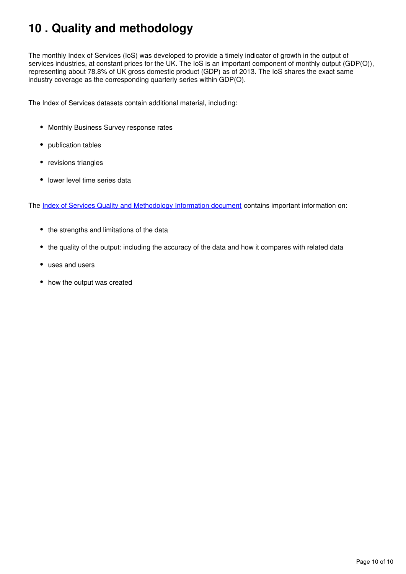# <span id="page-9-0"></span>**10 . Quality and methodology**

The monthly Index of Services (IoS) was developed to provide a timely indicator of growth in the output of services industries, at constant prices for the UK. The IoS is an important component of monthly output (GDP(O)), representing about 78.8% of UK gross domestic product (GDP) as of 2013. The IoS shares the exact same industry coverage as the corresponding quarterly series within GDP(O).

The Index of Services datasets contain additional material, including:

- Monthly Business Survey response rates
- publication tables
- revisions triangles
- lower level time series data

The [Index of Services Quality and Methodology Information document](https://www.ons.gov.uk/economy/nationalaccounts/uksectoraccounts/qmis/indexofservicesqmi) contains important information on:

- the strengths and limitations of the data
- the quality of the output: including the accuracy of the data and how it compares with related data
- uses and users
- how the output was created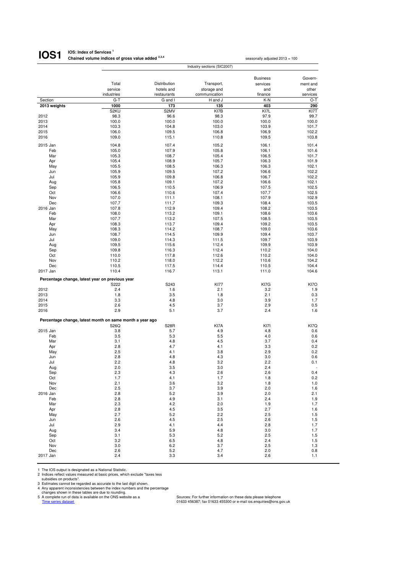#### **IOS: Index of Services <sup>1</sup> Chained volume indices of gross value added 2,3,4 IOS1**

|                 |                                                          |                           |                              | <b>Business</b> | Govern-           |
|-----------------|----------------------------------------------------------|---------------------------|------------------------------|-----------------|-------------------|
|                 | Total                                                    | Distribution              | Transport,                   | services        | ment and          |
|                 | service<br>industries                                    | hotels and<br>restaurants | storage and<br>communication | and<br>finance  | other<br>services |
| Section         | $G-T$                                                    | G and I                   | H and J                      | K-N             | O-T               |
| 2013 weights    | 1000                                                     | 173                       | 135                          | 403             | 290               |
|                 | S <sub>2</sub> KU                                        | S2MV                      | KI7B                         | KI7L            | KI7T              |
| 2012            | 98.3                                                     | 96.6                      | 98.3                         | 97.9            | 99.7              |
| 2013            | 100.0                                                    | 100.0                     | 100.0                        | 100.0           | 100.0             |
| 2014            | 103.3                                                    | 104.8                     | 103.0                        | 103.9           | 101.7             |
| 2015            | 106.0                                                    | 109.5                     | 106.8                        | 106.9           | 102.2             |
| 2016            | 109.0                                                    | 115.1                     | 110.8                        | 109.5           | 103.8             |
| 2015 Jan        | 104.8                                                    | 107.4                     | 105.2                        | 106.1           | 101.4             |
| Feb             | 105.0                                                    | 107.9                     | 105.8                        | 106.1           | 101.6             |
| Mar             | 105.3                                                    | 108.7                     | 105.4                        | 106.5           | 101.7             |
| Apr             | 105.4                                                    | 108.9                     | 105.7                        | 106.3           | 101.9             |
| May             | 105.5                                                    | 108.5                     | 106.3                        | 106.3           | 102.1             |
| Jun             | 105.9                                                    | 109.5                     | 107.2                        | 106.6           | 102.2             |
| Jul             | 105.9                                                    | 109.8                     | 106.8                        | 106.7           | 102.2             |
| Aug             | 105.8                                                    | 109.1                     | 107.2                        | 106.6           | 102.1             |
| Sep             | 106.5                                                    | 110.5                     | 106.9                        | 107.5           | 102.5             |
| Oct             | 106.6                                                    | 110.6                     | 107.4                        | 107.7           | 102.5             |
| Nov             | 107.0                                                    | 111.1                     | 108.1                        | 107.9           | 102.9             |
| Dec             | 107.7                                                    | 111.7                     | 109.3                        | 108.4           | 103.5             |
| 2016 Jan        | 107.8                                                    | 112.9                     | 109.4                        | 108.2           | 103.5             |
| Feb             | 108.0                                                    | 113.2                     | 109.1                        | 108.6           | 103.6             |
| Mar             | 107.7                                                    | 113.2                     | 107.5                        | 108.5           | 103.5             |
| Apr             | 108.3                                                    | 113.7<br>114.2            | 109.4                        | 109.2           | 103.5             |
| May<br>Jun      | 108.3<br>108.7                                           | 114.5                     | 108.7<br>109.9               | 109.0<br>109.4  | 103.6<br>103.7    |
| Jul             | 109.0                                                    | 114.3                     | 111.5                        | 109.7           | 103.9             |
| Aug             | 109.5                                                    | 115.6                     | 112.4                        | 109.9           | 103.9             |
| Sep             | 109.8                                                    | 116.3                     | 112.4                        | 110.2           | 104.0             |
| Oct             | 110.0                                                    | 117.8                     | 112.6                        | 110.2           | 104.0             |
| Nov             | 110.2                                                    | 118.0                     | 112.2                        | 110.6           | 104.2             |
| Dec             | 110.5                                                    | 117.5                     | 114.4                        | 110.5           | 104.4             |
| 2017 Jan        | 110.4                                                    | 116.7                     | 113.1                        | 111.0           | 104.6             |
|                 |                                                          |                           |                              |                 |                   |
|                 | Percentage change, latest year on previous year          |                           |                              | KI7G            | KI7O              |
| 2012            | S222<br>2.4                                              | S243<br>1.6               | <b>KI77</b><br>2.1           | 3.2             | 1.9               |
| 2013            | 1.8                                                      | 3.5                       | 1.8                          | 2.1             | 0.3               |
| 2014            | 3.3                                                      | 4.8                       | 3.0                          | 3.9             | 1.7               |
| 2015            | 2.6                                                      | 4.5                       | 3.7                          | 2.9             | 0.5               |
| 2016            | 2.9                                                      | 5.1                       | 3.7                          | 2.4             | 1.6               |
|                 |                                                          |                           |                              |                 |                   |
|                 | Percentage change, latest month on same month a year ago |                           |                              |                 |                   |
|                 | S26Q                                                     | <b>S28R</b>               | KI7A                         | KI7I            | KI7Q              |
| 2015 Jan<br>Feb | 3.8                                                      | 5.7                       | 4.9                          | 4.8             | 0.6<br>0.6        |
| Mar             | 3.5<br>3.1                                               | 5.3<br>4.8                | 5.5<br>4.5                   | 4.0<br>3.7      | 0.4               |
| Apr             | 2.8                                                      | 4.7                       | 4.1                          | 3.3             | 0.2               |
| May             | 2.5                                                      | 4.1                       | 3.8                          | 2.9             | 0.2               |
| Jun             | 2.8                                                      | 4.8                       | 4.3                          | 3.0             | 0.6               |
| Jul             | 2.2                                                      | 4.8                       | 3.2                          | 2.2             | 0.1               |
| Aug             | 2.0                                                      | 3.5                       | 3.0                          | 2.4             |                   |
| Sep             | 2.3                                                      | 4.3                       | 2.6                          | 2.6             | 0.4               |
| Oct             | 1.7                                                      | 4.1                       | 1.7                          | 1.8             | 0.2               |
| Nov             | 2.1                                                      | 3.6                       | 3.2                          | 1.8             | 1.0               |
| Dec             | 2.5                                                      | 3.7                       | 3.9                          | 2.0             | 1.6               |
| 2016 Jan        | 2.8                                                      | 5.2                       | 3.9                          | 2.0             | 2.1               |
| Feb             | 2.8                                                      | 4.9                       | 3.1                          | 2.4             | 1.9               |
| Mar             | 2.3                                                      | 4.2                       | 2.0                          | 1.9             | 1.7               |
| Apr             | 2.8                                                      | 4.5                       | 3.5                          | 2.7             | 1.6               |
| May             | 2.7                                                      | 5.2                       | 2.2                          | 2.5             | 1.5               |
| Jun<br>Jul      | 2.6<br>2.9                                               | 4.5<br>4.1                | 2.5                          | 2.6             | 1.5               |
| Aug             | 3.4                                                      | 5.9                       | 4.4<br>4.8                   | 2.8<br>3.0      | 1.7<br>1.7        |
| Sep             | 3.1                                                      | 5.3                       | 5.2                          | 2.5             | 1.5               |
| Oct             | 3.2                                                      | 6.5                       | 4.8                          | 2.4             | 1.5               |
| Nov             | 3.0                                                      | 6.2                       | 3.7                          | 2.5             | 1.3               |
| Dec             | 2.6                                                      | 5.2                       | 4.7                          | 2.0             | 0.8               |
| 2017 Jan        | 2.4                                                      | 3.3                       | 3.4                          | 2.6             | 1.1               |

1 The IOS output is designated as a National Statistic.<br>
2 Indices reflect values measured at basic prices, which exclude "taxes less<br>
3 Istimates cannot be regarded as accurate to the last digit shown.<br>
4 Any apparent inc

seasonally adjusted 2013 = 100

Industry sections (SIC2007)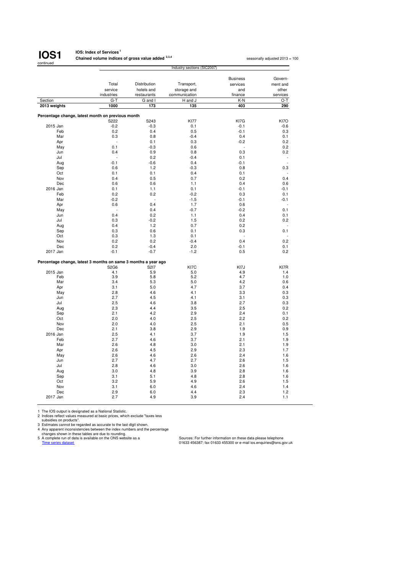

### **IOS: Index of Services<sup>1</sup> Chained volume indices of gross value added 2,3,4**

seasonally adjusted 2013 = 100

|              |                                                                | Industry sections (SIC2007) |               |                 |          |  |  |  |
|--------------|----------------------------------------------------------------|-----------------------------|---------------|-----------------|----------|--|--|--|
|              |                                                                |                             |               |                 |          |  |  |  |
|              |                                                                |                             |               | <b>Business</b> | Govern-  |  |  |  |
|              | Total                                                          | Distribution                | Transport,    | services        | ment and |  |  |  |
|              | service                                                        | hotels and                  | storage and   | and             | other    |  |  |  |
|              | industries                                                     | restaurants                 | communication | finance         | services |  |  |  |
| Section      | $G-T$                                                          | G and I                     | H and J       | K-N             | O-T      |  |  |  |
| 2013 weights | 1000                                                           | 173                         | 135           | 403             | 290      |  |  |  |
|              |                                                                |                             |               |                 |          |  |  |  |
|              | Percentage change, latest month on previous month              |                             |               |                 |          |  |  |  |
|              | S222                                                           | S243                        | <b>KI77</b>   | KI7G            | KI7O     |  |  |  |
| 2015 Jan     | $-0.2$                                                         | $-0.3$                      | 0.1           | $-0.1$          | $-0.6$   |  |  |  |
| Feb          | 0.2                                                            | 0.4                         | 0.5           | $-0.1$          | 0.3      |  |  |  |
| Mar          | 0.3                                                            | 0.8                         | $-0.4$        | 0.4             | 0.1      |  |  |  |
| Apr          |                                                                | 0.1                         | 0.3           | $-0.2$          | 0.2      |  |  |  |
| May          | 0.1                                                            | $-0.3$                      | 0.6           | L.              | 0.2      |  |  |  |
| Jun          | 0.4                                                            | 0.9                         | 0.8           | 0.3             | 0.2      |  |  |  |
| Jul          |                                                                | 0.2                         | $-0.4$        | 0.1             |          |  |  |  |
| Aug          | $-0.1$                                                         | $-0.6$                      | 0.4           | $-0.1$          |          |  |  |  |
| Sep          | 0.6                                                            | 1.2                         | $-0.3$        | 0.8             | 0.3      |  |  |  |
| Oct          | 0.1                                                            | 0.1                         | 0.4           | 0.1             |          |  |  |  |
| Nov          | 0.4                                                            | 0.5                         | 0.7           | 0.2             | 0.4      |  |  |  |
| Dec          | 0.6                                                            | 0.6                         | 1.1           | 0.4             | 0.6      |  |  |  |
| 2016 Jan     | 0.1                                                            | 1.1                         | 0.1           | $-0.1$          | $-0.1$   |  |  |  |
| Feb          | 0.2                                                            | 0.2                         | $-0.2$        | 0.3             | 0.1      |  |  |  |
| Mar          | $-0.2$                                                         | ÷,                          | $-1.5$        | $-0.1$          | $-0.1$   |  |  |  |
|              | 0.6                                                            | 0.4                         | 1.7           | 0.6             |          |  |  |  |
| Apr          |                                                                | 0.4                         | $-0.7$        |                 | 0.1      |  |  |  |
| May          |                                                                |                             |               | $-0.2$          |          |  |  |  |
| Jun          | 0.4                                                            | 0.2                         | 1.1           | 0.4             | 0.1      |  |  |  |
| Jul          | 0.3                                                            | $-0.2$                      | 1.5           | 0.2             | 0.2      |  |  |  |
| Aug          | 0.4                                                            | 1.2                         | 0.7           | 0.2             |          |  |  |  |
| Sep          | 0.3                                                            | 0.6                         | 0.1           | 0.3             | 0.1      |  |  |  |
| Oct          | 0.3                                                            | 1.3                         | 0.1           |                 |          |  |  |  |
| Nov          | 0.2                                                            | 0.2                         | $-0.4$        | 0.4             | 0.2      |  |  |  |
| Dec          | 0.2                                                            | $-0.4$                      | 2.0           | $-0.1$          | 0.1      |  |  |  |
| 2017 Jan     | $-0.1$                                                         | $-0.7$                      | $-1.2$        | 0.5             | 0.2      |  |  |  |
|              |                                                                |                             |               |                 |          |  |  |  |
|              | Percentage change, latest 3 months on same 3 months a year ago |                             |               |                 |          |  |  |  |
|              | S2G6                                                           | S217                        | KI7C          | KI7J            | KI7R     |  |  |  |
| 2015 Jan     | 4.1                                                            | 5.9                         | 5.0           | 4.9             | 1.4      |  |  |  |
| Feb          | 3.9                                                            | 5.8                         | 5.2           | 4.7             | 1.0      |  |  |  |
| Mar          | 3.4                                                            | 5.3                         | 5.0           | 4.2             | 0.6      |  |  |  |
| Apr          | 3.1                                                            | 5.0                         | 4.7           | 3.7             | 0.4      |  |  |  |
| May          | 2.8                                                            | 4.6                         | 4.1           | 3.3             | 0.3      |  |  |  |
| Jun          | 2.7                                                            | 4.5                         | 4.1           | 3.1             | 0.3      |  |  |  |
| Jul          | 2.5                                                            | 4.6                         | 3.8           | 2.7             | 0.3      |  |  |  |
| Aug          | 2.3                                                            | 4.4                         | 3.5           | 2.5             | 0.2      |  |  |  |
| Sep          | 2.1                                                            | 4.2                         | 2.9           | 2.4             | 0.1      |  |  |  |
| Oct          | 2.0                                                            | 4.0                         | 2.5           | 2.2             | 0.2      |  |  |  |
| Nov          | 2.0                                                            | 4.0                         | 2.5           | 2.1             | 0.5      |  |  |  |
| Dec          | 2.1                                                            | 3.8                         | 2.9           | 1.9             | 0.9      |  |  |  |
| 2016 Jan     | 2.5                                                            | 4.1                         | 3.7           | 1.9             | 1.5      |  |  |  |
| Feb          | 2.7                                                            | 4.6                         | 3.7           | 2.1             | 1.9      |  |  |  |
| Mar          | 2.6                                                            | 4.8                         | 3.0           | 2.1             | 1.9      |  |  |  |
| Apr          | 2.6                                                            | 4.5                         | 2.9           | 2.3             | 1.7      |  |  |  |
| May          | 2.6                                                            | 4.6                         | 2.6           | 2.4             | 1.6      |  |  |  |
| Jun          | 2.7                                                            | 4.7                         | 2.7           | 2.6             | 1.5      |  |  |  |
| Jul          | 2.8                                                            | 4.6                         | 3.0           | 2.6             | 1.6      |  |  |  |
| Aug          | 3.0                                                            | 4.8                         | 3.9           | 2.8             | 1.6      |  |  |  |
| Sep          | 3.1                                                            | 5.1                         | 4.8           | 2.8             | 1.6      |  |  |  |
| Oct          | 3.2                                                            | 5.9                         | 4.9           | 2.6             | 1.5      |  |  |  |
| Nov          | 3.1                                                            | 6.0                         | 4.6           | 2.4             | 1.4      |  |  |  |
| Dec          | 2.9                                                            | 6.0                         | 4.4           | 2.3             | 1.2      |  |  |  |
| 2017 Jan     | 2.7                                                            | 4.9                         | 3.9           | 2.4             | 1.1      |  |  |  |
|              |                                                                |                             |               |                 |          |  |  |  |

1 The IOS output is designated as a National Statistic.<br>
2 Indices reflect values measured at basic prices, which exclude "taxes less<br>
3 Usticlies on products".<br>
4 Any apparent inconsistencies between the index numbers and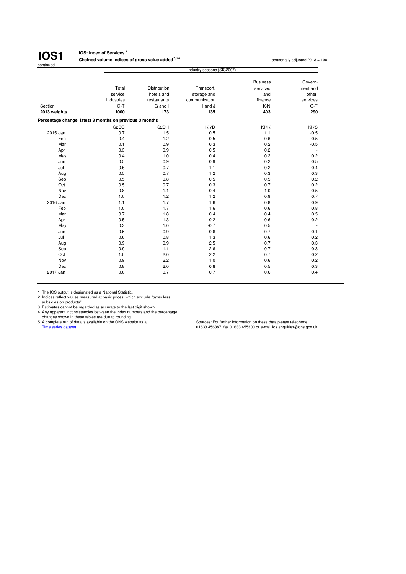

## **IOS: Index of Services <sup>1</sup>**

**Chained volume indices of gross value added <sup>2,3,4</sup> seasonally adjusted 2013 = 100 seasonally adjusted 2013 = 100** 

|              |                                                         |              | Industry sections (SIC2007) |                 |                          |  |  |  |  |  |
|--------------|---------------------------------------------------------|--------------|-----------------------------|-----------------|--------------------------|--|--|--|--|--|
|              |                                                         |              |                             | <b>Business</b> | Govern-                  |  |  |  |  |  |
|              | Total                                                   | Distribution | Transport,                  | services        | ment and                 |  |  |  |  |  |
|              | service                                                 | hotels and   | storage and                 | and             | other                    |  |  |  |  |  |
|              | industries                                              | restaurants  | communication               | finance         | services                 |  |  |  |  |  |
| Section      | $G-T$                                                   | G and I      | H and J                     | K-N             | $O-T$                    |  |  |  |  |  |
| 2013 weights | 1000                                                    | 173          | 135                         | 403             | 290                      |  |  |  |  |  |
|              |                                                         |              |                             |                 |                          |  |  |  |  |  |
|              | Percentage change, latest 3 months on previous 3 months |              |                             |                 |                          |  |  |  |  |  |
|              | S <sub>2</sub> B <sub>G</sub>                           | S2DH         | KI7D                        | KI7K            | KI7S                     |  |  |  |  |  |
| 2015 Jan     | 0.7                                                     | 1.5          | 0.5                         | 1.1             | $-0.5$                   |  |  |  |  |  |
| Feb          | 0.4                                                     | 1.2          | 0.5                         | 0.6             | $-0.5$                   |  |  |  |  |  |
| Mar          | 0.1                                                     | 0.9          | 0.3                         | 0.2             | $-0.5$                   |  |  |  |  |  |
| Apr          | 0.3                                                     | 0.9          | 0.5                         | 0.2             | $\overline{\phantom{a}}$ |  |  |  |  |  |
| May          | 0.4                                                     | 1.0          | 0.4                         | 0.2             | 0.2                      |  |  |  |  |  |
| Jun          | 0.5                                                     | 0.9          | 0.9                         | 0.2             | 0.5                      |  |  |  |  |  |
| Jul          | 0.5                                                     | 0.7          | 1.1                         | 0.2             | 0.4                      |  |  |  |  |  |
| Aug          | 0.5                                                     | 0.7          | 1.2                         | 0.3             | 0.3                      |  |  |  |  |  |
| Sep          | 0.5                                                     | 0.8          | 0.5                         | 0.5             | 0.2                      |  |  |  |  |  |
| Oct          | 0.5                                                     | 0.7          | 0.3                         | 0.7             | 0.2                      |  |  |  |  |  |
| Nov          | 0.8                                                     | 1.1          | 0.4                         | 1.0             | 0.5                      |  |  |  |  |  |
| Dec          | 1.0                                                     | 1.2          | 1.2                         | 0.9             | 0.7                      |  |  |  |  |  |
| 2016 Jan     | 1.1                                                     | 1.7          | 1.6                         | 0.8             | 0.9                      |  |  |  |  |  |
| Feb          | 1.0                                                     | 1.7          | 1.6                         | 0.6             | 0.8                      |  |  |  |  |  |
| Mar          | 0.7                                                     | 1.8          | 0.4                         | 0.4             | 0.5                      |  |  |  |  |  |
| Apr          | 0.5                                                     | 1.3          | $-0.2$                      | 0.6             | 0.2                      |  |  |  |  |  |
| May          | 0.3                                                     | 1.0          | $-0.7$                      | 0.5             | $\overline{\phantom{a}}$ |  |  |  |  |  |
| Jun          | 0.6                                                     | 0.9          | 0.6                         | 0.7             | 0.1                      |  |  |  |  |  |
| Jul          | 0.6                                                     | 0.8          | 1.3                         | 0.6             | 0.2                      |  |  |  |  |  |
| Aug          | 0.9                                                     | 0.9          | 2.5                         | 0.7             | 0.3                      |  |  |  |  |  |
| Sep          | 0.9                                                     | 1.1          | 2.6                         | 0.7             | 0.3                      |  |  |  |  |  |
| Oct          | 1.0                                                     | 2.0          | 2.2                         | 0.7             | 0.2                      |  |  |  |  |  |
| Nov          | 0.9                                                     | 2.2          | 1.0                         | 0.6             | 0.2                      |  |  |  |  |  |
| Dec          | 0.8                                                     | 2.0          | 0.8                         | 0.5             | 0.3                      |  |  |  |  |  |
| 2017 Jan     | 0.6                                                     | 0.7          | 0.7                         | 0.6             | 0.4                      |  |  |  |  |  |
|              |                                                         |              |                             |                 |                          |  |  |  |  |  |

1 The IOS output is designated as a National Statistic. 2 Indices reflect values measured at basic prices, which exclude "taxes less subsidies on products".

3 Estimates cannot be regarded as accurate to the last digit shown.<br>
4 Any apparent inconsistencies between the index numbers and the percentage<br>
changes shown in these tales are due to rounding.<br>
5 A complete run of data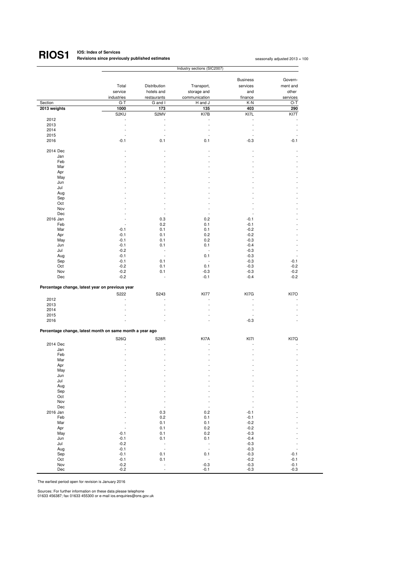#### **IOS: Index of Services Revisions since previously published estimates <sup>1</sup> RIOS1**

|              |                                                          | Industry sections (SIC2007) |                          |                          |                          |  |  |
|--------------|----------------------------------------------------------|-----------------------------|--------------------------|--------------------------|--------------------------|--|--|
|              |                                                          |                             |                          |                          | Govern-                  |  |  |
|              |                                                          |                             |                          | <b>Business</b>          |                          |  |  |
|              | Total                                                    | Distribution                | Transport,               | services                 | ment and                 |  |  |
|              | service                                                  | hotels and                  | storage and              | and                      | other                    |  |  |
|              | industries                                               | restaurants                 | communication            | finance                  | services                 |  |  |
| Section      | $G-T$                                                    | G and I                     | H and J                  | K-N                      | O-T                      |  |  |
| 2013 weights | 1000                                                     | 173                         | 135                      | 403                      | 290                      |  |  |
|              | S2KU                                                     | S2MV                        | KI7B                     | KI7L                     | KI7T                     |  |  |
| 2012         | $\overline{\phantom{a}}$                                 |                             | ÷,                       | ÷,                       |                          |  |  |
| 2013         | L,                                                       | L,                          | L,                       | L,                       |                          |  |  |
| 2014         | ÷,                                                       | ÷,                          | $\overline{\phantom{a}}$ | $\overline{\phantom{a}}$ |                          |  |  |
| 2015         | ÷,                                                       | $\ddot{\phantom{1}}$        | $\ddot{\phantom{1}}$     | $\blacksquare$           |                          |  |  |
| 2016         | $-0.1$                                                   | 0.1                         | 0.1                      | $-0.3$                   | $-0.1$                   |  |  |
|              |                                                          |                             |                          |                          |                          |  |  |
| 2014 Dec     | ä,                                                       |                             | ä,                       | ł,                       |                          |  |  |
| Jan          |                                                          |                             |                          |                          |                          |  |  |
|              |                                                          |                             |                          |                          |                          |  |  |
| Feb          |                                                          |                             |                          |                          |                          |  |  |
| Mar          |                                                          |                             |                          |                          |                          |  |  |
| Apr          |                                                          |                             |                          |                          |                          |  |  |
| May          |                                                          |                             |                          |                          |                          |  |  |
| Jun          |                                                          |                             |                          |                          |                          |  |  |
| Jul          |                                                          |                             |                          |                          |                          |  |  |
| Aug          |                                                          |                             |                          |                          |                          |  |  |
| Sep          |                                                          |                             |                          |                          |                          |  |  |
| Oct          |                                                          |                             |                          |                          |                          |  |  |
| Nov          |                                                          | ÷,                          | ÷,                       |                          |                          |  |  |
| Dec          |                                                          | ÷,                          | $\overline{\phantom{a}}$ | ÷,                       |                          |  |  |
|              |                                                          |                             |                          |                          |                          |  |  |
| 2016 Jan     |                                                          | 0.3                         | 0.2                      | $-0.1$                   |                          |  |  |
| Feb          | ÷,                                                       | 0.2                         | 0.1                      | $-0.1$                   |                          |  |  |
| Mar          | $-0.1$                                                   | 0.1                         | 0.1                      | $-0.2$                   |                          |  |  |
| Apr          | $-0.1$                                                   | 0.1                         | 0.2                      | $-0.2$                   |                          |  |  |
| May          | $-0.1$                                                   | 0.1                         | 0.2                      | $-0.3$                   |                          |  |  |
| Jun          | $-0.1$                                                   | 0.1                         | 0.1                      | $-0.4$                   |                          |  |  |
| Jul          | $-0.2$                                                   | ÷,                          | $\overline{\phantom{a}}$ | $-0.3$                   |                          |  |  |
| Aug          | $-0.1$                                                   | ÷,                          | 0.1                      | $-0.3$                   | $\tilde{\phantom{a}}$    |  |  |
| Sep          | $-0.1$                                                   | 0.1                         | $\overline{\phantom{a}}$ | $-0.3$                   | $-0.1$                   |  |  |
| Oct          | $-0.2$                                                   | 0.1                         | 0.1                      | $-0.3$                   | $-0.2$                   |  |  |
| Nov          | $-0.2$                                                   | 0.1                         | $-0.3$                   | $-0.3$                   | $-0.2$                   |  |  |
|              |                                                          |                             |                          |                          |                          |  |  |
| Dec          | $-0.2$                                                   | ÷,                          | $-0.1$                   | $-0.4$                   | $-0.2$                   |  |  |
|              | Percentage change, latest year on previous year          |                             |                          |                          |                          |  |  |
|              | S222                                                     | S243                        | <b>KI77</b>              | KI7G                     | KI7O                     |  |  |
| 2012         | ٠                                                        |                             |                          |                          |                          |  |  |
| 2013         |                                                          |                             |                          | ÷                        |                          |  |  |
| 2014         |                                                          |                             |                          | $\sim$                   |                          |  |  |
| 2015         |                                                          |                             |                          | ÷.                       |                          |  |  |
| 2016         |                                                          |                             |                          | $-0.3$                   |                          |  |  |
|              |                                                          |                             |                          |                          |                          |  |  |
|              | Percentage change, latest month on same month a year ago |                             |                          |                          |                          |  |  |
|              | S26Q                                                     | <b>S28R</b>                 | KI7A                     | KI7I                     | KI7Q                     |  |  |
| 2014 Dec     |                                                          |                             |                          |                          |                          |  |  |
| Jan          |                                                          |                             |                          |                          |                          |  |  |
| Feb          |                                                          |                             |                          |                          |                          |  |  |
| Mar          |                                                          |                             |                          |                          |                          |  |  |
| Apr          |                                                          |                             |                          |                          |                          |  |  |
|              |                                                          |                             |                          |                          |                          |  |  |
| May          |                                                          |                             |                          |                          |                          |  |  |
| Jun          |                                                          |                             |                          |                          |                          |  |  |
| Jul          |                                                          |                             |                          |                          |                          |  |  |
| Aug          |                                                          |                             |                          |                          |                          |  |  |
| Sep          |                                                          |                             |                          |                          |                          |  |  |
| Oct          |                                                          |                             |                          |                          |                          |  |  |
| Nov          |                                                          |                             | ٠                        |                          |                          |  |  |
| Dec          |                                                          | $\overline{a}$              | $\ddot{\phantom{1}}$     | L,                       |                          |  |  |
| 2016 Jan     |                                                          | 0.3                         | 0.2                      | $-0.1$                   |                          |  |  |
| Feb          |                                                          | 0.2                         | 0.1                      | $-0.1$                   |                          |  |  |
| Mar          |                                                          | 0.1                         | 0.1                      | $-0.2$                   |                          |  |  |
| Apr          | ÷                                                        | 0.1                         | 0.2                      | $-0.2$                   |                          |  |  |
| May          | $-0.1$                                                   | 0.1                         | 0.2                      | $-0.3$                   |                          |  |  |
|              | $-0.1$                                                   |                             |                          |                          |                          |  |  |
| Jun          |                                                          | 0.1                         | 0.1                      | $-0.4$                   |                          |  |  |
| Jul          | $-0.2$                                                   | $\frac{1}{2}$               | ÷                        | $-0.3$                   |                          |  |  |
| Aug          | $-0.1$                                                   |                             | Ĭ,                       | $-0.3$                   | $\overline{\phantom{m}}$ |  |  |
| Sep          | $-0.1$                                                   | 0.1                         | 0.1                      | $-0.3$                   | $-0.1$                   |  |  |
| Oct          | $-0.1$                                                   | 0.1                         | $\overline{a}$           | $-0.2$                   | $-0.1$                   |  |  |
| Nov          | $-0.2$                                                   | ÷                           | $-0.3$                   | $-0.3$                   | $-0.1$                   |  |  |
| Dec          | $-0.2$                                                   | $\overline{a}$              | $-0.1$                   | $-0.3$                   | $-0.3$                   |  |  |

The earliest period open for revision is January 2016

Sources: For further information on these data please telephone 01633 456387; fax 01633 455300 or e-mail ios.enquiries@ons.gov.uk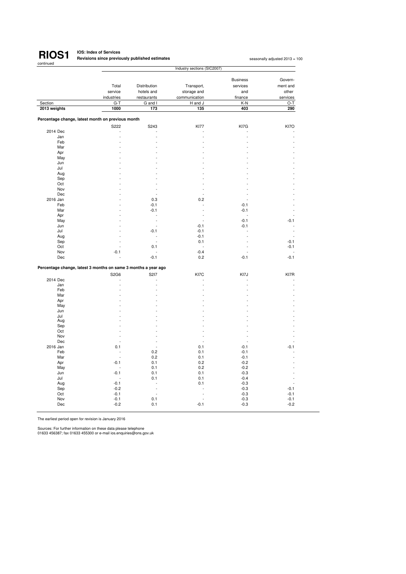

# **RIOS1 IOS:** Index of Services<br> **RIOS1 Revisions since previously published estimates**

seasonally adjusted 2013 = 100

| אטוונוע                                                        | Industry sections (SIC2007) |              |               |                 |                |  |  |
|----------------------------------------------------------------|-----------------------------|--------------|---------------|-----------------|----------------|--|--|
|                                                                |                             |              |               |                 |                |  |  |
|                                                                |                             |              |               | <b>Business</b> | Govern-        |  |  |
|                                                                | Total                       | Distribution | Transport,    | services        | ment and       |  |  |
|                                                                | service                     | hotels and   | storage and   | and             | other          |  |  |
|                                                                | industries                  | restaurants  | communication | finance         | services       |  |  |
| Section                                                        | $G-T$                       | G and I      | H and J       | K-N             | O-T            |  |  |
| 2013 weights                                                   | 1000                        | 173          | 135           | 403             | 290            |  |  |
|                                                                |                             |              |               |                 |                |  |  |
| Percentage change, latest month on previous month              |                             |              |               |                 |                |  |  |
|                                                                | S222                        | S243         | <b>KI77</b>   | KI7G            | KI7O           |  |  |
| 2014 Dec                                                       |                             |              |               |                 |                |  |  |
| Jan                                                            |                             |              |               |                 |                |  |  |
| Feb                                                            |                             |              |               |                 |                |  |  |
| Mar                                                            |                             |              |               |                 |                |  |  |
| Apr                                                            |                             |              |               |                 |                |  |  |
| May                                                            |                             |              |               |                 |                |  |  |
| Jun                                                            |                             |              |               |                 |                |  |  |
| Jul                                                            |                             |              |               |                 |                |  |  |
| Aug                                                            |                             |              |               |                 |                |  |  |
| Sep                                                            |                             |              |               |                 |                |  |  |
| Oct                                                            |                             |              |               |                 |                |  |  |
| Nov                                                            |                             |              |               |                 |                |  |  |
| Dec                                                            |                             |              |               |                 |                |  |  |
| 2016 Jan                                                       |                             | 0.3          | 0.2           |                 |                |  |  |
| Feb                                                            |                             | $-0.1$       | L.            | $-0.1$          |                |  |  |
| Mar                                                            |                             | $-0.1$       | L             | $-0.1$          |                |  |  |
| Apr                                                            |                             | Ĭ.           |               |                 |                |  |  |
| May                                                            |                             | Ĭ.           |               | $-0.1$          | $-0.1$         |  |  |
| Jun                                                            |                             |              | $-0.1$        | $-0.1$          |                |  |  |
| Jul                                                            |                             | $-0.1$       | $-0.1$        | ÷.              | $\overline{a}$ |  |  |
| Aug                                                            |                             | ٠            | $-0.1$        |                 |                |  |  |
| Sep                                                            |                             | l,           | 0.1           |                 | $-0.1$         |  |  |
| Oct                                                            |                             | 0.1          |               |                 | $-0.1$         |  |  |
| Nov                                                            | $-0.1$                      |              | $-0.4$        | $\overline{a}$  |                |  |  |
| Dec                                                            |                             | $-0.1$       | 0.2           | $-0.1$          | $-0.1$         |  |  |
|                                                                |                             |              |               |                 |                |  |  |
| Percentage change, latest 3 months on same 3 months a year ago |                             |              |               |                 |                |  |  |
| 2014 Dec                                                       | S2G6                        | S217         | KI7C          | KI7J            | KI7R           |  |  |
|                                                                |                             | ł,<br>l,     |               |                 |                |  |  |
| Jan<br>Feb                                                     |                             |              |               |                 |                |  |  |
|                                                                |                             |              |               |                 |                |  |  |
| Mar                                                            |                             |              |               |                 |                |  |  |
| Apr                                                            |                             |              |               |                 |                |  |  |
| May                                                            |                             |              |               |                 |                |  |  |
| Jun                                                            |                             |              |               |                 |                |  |  |
| Jul                                                            |                             |              |               |                 |                |  |  |
| Aug                                                            |                             |              |               |                 |                |  |  |
| Sep                                                            |                             |              |               |                 |                |  |  |
| Oct                                                            |                             |              |               |                 |                |  |  |
| Nov                                                            |                             |              |               |                 |                |  |  |
| Dec                                                            |                             | L            | L.            | L.              |                |  |  |
| 2016 Jan                                                       | 0.1                         | ä,           | 0.1           | $-0.1$          | $-0.1$         |  |  |
| Feb                                                            |                             | 0.2          | 0.1           | $-0.1$          |                |  |  |
| Mar                                                            | L.                          | 0.2          | 0.1           | $-0.1$          |                |  |  |
| Apr                                                            | $-0.1$                      | 0.1          | 0.2           | $-0.2$          |                |  |  |
| May                                                            | ÷.                          | 0.1          | 0.2           | $-0.2$          |                |  |  |
| Jun                                                            | $-0.1$                      | 0.1          | 0.1           | $-0.3$          |                |  |  |
| Jul                                                            | L.                          | 0.1          | 0.1           | $-0.4$          |                |  |  |
| Aug                                                            | $-0.1$                      |              | 0.1           | $-0.3$          |                |  |  |
| Sep                                                            | $-0.2$                      |              |               | $-0.3$          | $-0.1$         |  |  |
| Oct                                                            | $-0.1$                      |              |               | $-0.3$          | $-0.1$         |  |  |
| Nov                                                            | $-0.1$                      | 0.1          |               | $-0.3$          | $-0.1$         |  |  |
| Dec                                                            | $-0.2$                      | 0.1          | $-0.1$        | $-0.3$          | $-0.2$         |  |  |
|                                                                |                             |              |               |                 |                |  |  |

The earliest period open for revision is January 2016

Sources: For further information on these data please telephone 01633 456387; fax 01633 455300 or e-mail ios.enquiries@ons.gov.uk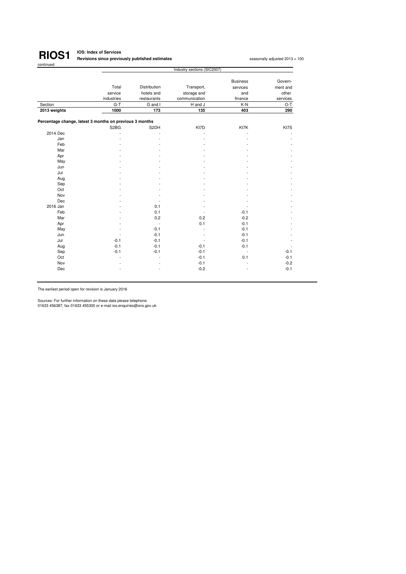

# **IOS: Index of Services Revisions since previously published estimates<sup>1</sup>**

seasonally adjusted 2013 = 100

|                                                         | Industry sections (SIC2007)   |              |               |                 |                   |  |  |  |
|---------------------------------------------------------|-------------------------------|--------------|---------------|-----------------|-------------------|--|--|--|
|                                                         |                               |              |               | <b>Business</b> | Govern-           |  |  |  |
|                                                         | Total                         | Distribution |               | services        |                   |  |  |  |
|                                                         |                               |              | Transport,    |                 | ment and<br>other |  |  |  |
|                                                         | service                       | hotels and   | storage and   | and             |                   |  |  |  |
|                                                         | industries                    | restaurants  | communication | finance         | services          |  |  |  |
| Section                                                 | $G-T$                         | G and I      | H and J       | K-N             | O-T               |  |  |  |
| 2013 weights                                            | 1000                          | 173          | 135           | 403             | 290               |  |  |  |
| Percentage change, latest 3 months on previous 3 months |                               |              |               |                 |                   |  |  |  |
|                                                         | S <sub>2</sub> B <sub>G</sub> | S2DH         | KI7D          | KI7K            | KI7S              |  |  |  |
| 2014 Dec                                                |                               |              |               |                 |                   |  |  |  |
| Jan                                                     |                               |              |               |                 |                   |  |  |  |
| Feb                                                     |                               |              |               |                 |                   |  |  |  |
| Mar                                                     |                               |              |               |                 |                   |  |  |  |
| Apr                                                     |                               |              |               |                 |                   |  |  |  |
| May                                                     |                               |              |               |                 |                   |  |  |  |
| Jun                                                     |                               |              |               |                 |                   |  |  |  |
| Jul                                                     |                               |              |               |                 |                   |  |  |  |
| Aug                                                     |                               |              |               |                 |                   |  |  |  |
| Sep                                                     |                               |              |               |                 |                   |  |  |  |
| Oct                                                     |                               |              |               |                 |                   |  |  |  |
| Nov                                                     |                               |              |               |                 |                   |  |  |  |
| Dec                                                     |                               |              |               |                 |                   |  |  |  |
| 2016 Jan                                                |                               | 0.1          |               |                 |                   |  |  |  |
| Feb                                                     |                               | 0.1          |               | $-0.1$          |                   |  |  |  |
| Mar                                                     |                               | 0.2          | 0.2           | $-0.2$          |                   |  |  |  |
| Apr                                                     |                               | ä,           | 0.1           | $-0.1$          |                   |  |  |  |
| May                                                     |                               | $-0.1$       |               | $-0.1$          |                   |  |  |  |
| Jun                                                     |                               | $-0.1$       |               | $-0.1$          |                   |  |  |  |
| Jul                                                     | $-0.1$                        | $-0.1$       |               | $-0.1$          |                   |  |  |  |
| Aug                                                     | $-0.1$                        | $-0.1$       | $-0.1$        | $-0.1$          |                   |  |  |  |
| Sep                                                     | $-0.1$                        | $-0.1$       | $-0.1$        | $\sim$          | $-0.1$            |  |  |  |
| Oct                                                     |                               |              | $-0.1$        | 0.1             | $-0.1$            |  |  |  |
| Nov                                                     |                               |              | $-0.1$        |                 | $-0.2$            |  |  |  |
| Dec                                                     |                               |              | $-0.2$        |                 | $-0.1$            |  |  |  |

The earliest period open for revision is January 2016

Sources: For further information on these data please telephone 01633 456387; fax 01633 455300 or e-mail ios.enquiries@ons.gov.uk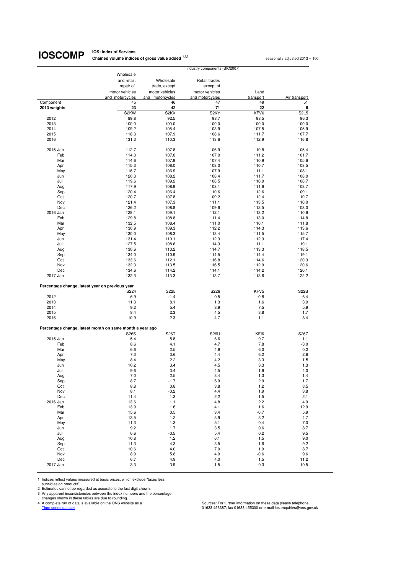# **IOSCOMP** Chained volume indice

**Chained volume indices of gross value added <sup>1,2,3</sup> seasonally adjusted 2013 = 100 seasonally adjusted 2013 = 100** 

|              |                                                          |                   | Industry components (SIC2007) |                |                               |
|--------------|----------------------------------------------------------|-------------------|-------------------------------|----------------|-------------------------------|
|              | Wholesale                                                |                   |                               |                |                               |
|              | and retail.                                              | Wholesale         | Retail trades                 |                |                               |
|              | repair of                                                | trade, except     | except of                     |                |                               |
|              | motor vehicles                                           | motor vehicles    | motor vehicles                | Land           |                               |
|              | and motorcycles                                          | and motorcycles   | and motorcycles               | transport      | Air transport                 |
| Component    | 45                                                       | 46                | 47                            | 49             | 51                            |
| 2013 weights | 23                                                       | 42                | 71                            | 22             | 6                             |
|              | S <sub>2</sub> KW                                        | S <sub>2</sub> KX | S <sub>2</sub> KY             | KFV6           | S <sub>2</sub> L <sub>5</sub> |
| 2012         | 89.8                                                     | 92.5              | 98.7                          | 98.5           | 96.3                          |
| 2013         | 100.0                                                    | 100.0             | 100.0                         | 100.0          | 100.0                         |
| 2014         | 109.2                                                    | 105.4             | 103.9                         | 107.5          | 105.9                         |
| 2015         | 118.3                                                    | 107.9             | 108.6                         | 111.7          | 107.7                         |
| 2016         | 131.3                                                    | 110.3             | 113.6                         | 112.9          | 116.8                         |
|              |                                                          |                   |                               |                |                               |
| 2015 Jan     | 112.7                                                    | 107.8             | 106.9                         | 110.8          | 105.4                         |
| Feb<br>Mar   | 114.0<br>114.6                                           | 107.0<br>107.9    | 107.0<br>107.4                | 111.2<br>110.9 | 101.7<br>105.6                |
| Apr          | 115.3                                                    | 108.0             | 108.0                         | 110.7          | 108.5                         |
| May          | 116.7                                                    | 106.9             | 107.9                         | 111.1          | 108.1                         |
| Jun          | 120.3                                                    | 108.2             | 108.4                         | 111.7          | 108.0                         |
| Jul          | 119.6                                                    | 109.2             | 108.5                         | 110.9          | 108.7                         |
| Aug          | 117.9                                                    | 108.9             | 108.1                         | 111.6          | 108.7                         |
| Sep          | 120.4                                                    | 106.4             | 110.6                         | 112.6          | 109.1                         |
| Oct          | 120.7                                                    | 107.8             | 109.2                         | 112.4          | 110.7                         |
| Nov          | 121.4                                                    | 107.3             | 111.1                         | 113.5          | 110.0                         |
| Dec          | 126.2                                                    | 108.8             | 109.6                         | 112.5          | 108.0                         |
| 2016 Jan     | 128.1                                                    | 109.1             | 112.1                         | 113.2          | 110.6                         |
| Feb          | 129.8                                                    | 108.8             | 111.4                         | 113.0          | 114.8                         |
| Mar          | 132.5                                                    | 108.4             | 111.0                         | 110.1          | 111.8                         |
| Apr          | 130.9                                                    | 109.3             | 112.2                         | 114.3          | 113.6                         |
| May          | 130.0                                                    | 108.3             | 113.4                         | 111.5          | 115.7                         |
| Jun          | 131.4                                                    | 110.1             | 112.3                         | 112.3          | 117.4                         |
| Jul          | 127.5                                                    | 108.6             | 114.3                         | 111.1          | 119.1                         |
| Aug          | 130.6                                                    | 110.2             | 114.7                         | 113.3          | 118.5                         |
| Sep          | 134.0                                                    | 110.9             | 114.5                         | 114.4          | 119.1                         |
| Oct          | 133.6                                                    | 112.1             | 116.8                         | 114.6          | 120.3                         |
| Nov          | 132.3                                                    | 113.5             | 116.5                         | 112.9          | 120.6                         |
| Dec          | 134.6                                                    | 114.2             | 114.1                         | 114.2          | 120.1                         |
| 2017 Jan     | 132.3                                                    | 113.3             | 113.7                         | 113.6          | 122.2                         |
|              | Percentage change, latest year on previous year          |                   |                               |                |                               |
|              | S224                                                     | S225              | S226                          | KFV5           | <b>S22B</b>                   |
| 2012         | 6.9                                                      | $-1.4$            | 0.5                           | $-0.8$         | 6.4                           |
| 2013         | 11.3                                                     | 8.1               | 1.3                           | 1.6            | 3.9                           |
| 2014         | 9.2                                                      | 5.4               | 3.9                           | 7.5            | 5.9                           |
| 2015         | 8.4                                                      | 2.3               | 4.5                           | 3.8            | 1.7                           |
| 2016         | 10.9                                                     | 2.3               | 4.7                           | 1.1            | 8.4                           |
|              | Percentage change, latest month on same month a year ago |                   |                               |                |                               |
|              | <b>S26S</b>                                              | S26T              | S26U                          | KFI6           | S26Z                          |
| 2015 Jan     | 5.4                                                      | 5.8               | 6.6                           | 9.7            | 1.1                           |
| Feb          | 8.6                                                      | 4.1               | 4.7                           | 7.8            | $-3.0$                        |
| Mar          | 6.6                                                      | 2.5               | 4.9                           | 6.0            | 0.2                           |
| Apr          | 7.3                                                      | 3.6               | 4.4                           | 6.2            | 2.6                           |
| May          | 8.4                                                      | 2.2               | 4.2                           | 3.3            | 1.5                           |
| Jun          | 10.2                                                     | 3.4               | 4.5                           | 3.3            | 1.3                           |
| Jul          | 9.6                                                      | 3.4               | 4.5                           | 1.9            | 4.U                           |
| Aug          | 7.0                                                      | 2.5               | 3.4                           | 1.3            | 1.4                           |
| Sep          | 8.7                                                      | $-1.7$            | 6.9                           | 2.9            | 1.7                           |
| Oct          | 8.8                                                      | 0.8               | 3.8                           | 1.2            | 3.5                           |
| Nov          | 8.1                                                      | $-0.2$            | 4.4                           | 1.9            | 3.8                           |
| Dec          | 11.4                                                     | 1.3               | 2.2                           | 1.5            | 2.1                           |
| 2016 Jan     | 13.6                                                     | 1.1               | 4.8                           | 2.2            | 4.9                           |
| Feb          | 13.9                                                     | 1.6               | 4.1                           | 1.6            | 12.9                          |
| Mar          | 15.6                                                     | 0.5               | 3.4                           | $-0.7$         | 5.9                           |
| Apr          | 13.5                                                     | 1.2               | 3.9                           | 3.2            | 4.7                           |
| May          | 11.3                                                     | 1.3               | 5.1                           | 0.4            | 7.0                           |
| Jun          | 9.2                                                      | 1.7               | 3.5                           | 0.6            | 8.7                           |
| Jul          | 6.6                                                      | $-0.5$            | 5.4                           | 0.2            | 9.5                           |
| Aug          | 10.8                                                     | 1.2               | 6.1                           | 1.5            | 9.0<br>9.2                    |
| Sep<br>Oct   | 11.3<br>10.6                                             | 4.3<br>4.0        | 3.5<br>7.0                    | 1.6<br>1.9     | 8.7                           |
| Nov          | 8.9                                                      | 5.8               | 4.9                           | $-0.6$         | 9.6                           |
| Dec          | 6.7                                                      | 4.9               | 4.0                           | 1.5            | 11.2                          |
| 2017 Jan     | 3.3                                                      | 3.9               | 1.5                           | 0.3            | 10.5                          |
|              |                                                          |                   |                               |                |                               |

1 Indices reflect values measured at basic prices, which exclude "taxes less

subsidies on products".<br>
2 Estimates cannot be regarded as accurate to the last digit shown.<br>
3 Any apparent inconsistencies between the index numbers and the percentage<br>
2 A complete run of data is available on the ONS we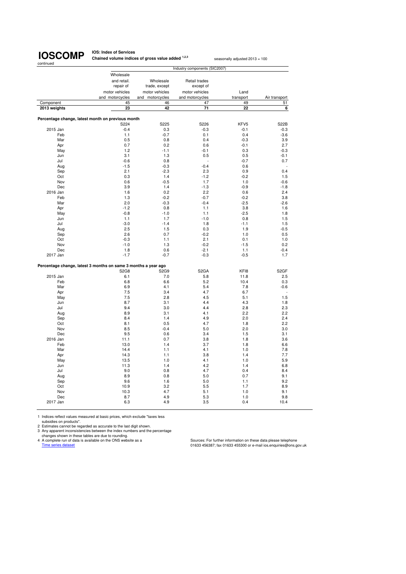**IOS: Index of Services Chained volume indices of gross value added <sup>1,2,3</sup> seasonally adjusted 2013 = 100** 

|              |                                                                               |                 | Industry components (SIC2007) |           |                      |
|--------------|-------------------------------------------------------------------------------|-----------------|-------------------------------|-----------|----------------------|
|              | Wholesale                                                                     |                 |                               |           |                      |
|              | and retail.                                                                   | Wholesale       | Retail trades                 |           |                      |
|              | repair of                                                                     | trade, except   | except of                     |           |                      |
|              | motor vehicles                                                                | motor vehicles  | motor vehicles                | Land      |                      |
|              | and motorcycles                                                               | and motorcycles | and motorcycles               | transport | Air transport        |
| Component    | 45                                                                            | 46              | 47                            | 49        | 51                   |
| 2013 weights | 23                                                                            | 42              | 71                            | 22        | 6                    |
|              |                                                                               |                 |                               |           |                      |
|              | Percentage change, latest month on previous month                             |                 |                               |           |                      |
|              | S224                                                                          | S225            | S226                          | KFV5      | <b>S22B</b>          |
| 2015 Jan     | $-0.4$                                                                        | 0.3             | $-0.3$                        | $-0.1$    | $-0.3$               |
| Feb          | 1.1                                                                           | $-0.7$          | 0.1                           | 0.4       | $-3.6$               |
| Mar          | 0.5                                                                           | 0.8             | 0.4                           | $-0.3$    | 3.9                  |
| Apr          | 0.7                                                                           | 0.2             | 0.6                           | $-0.1$    | 2.7                  |
| May          | 1.2                                                                           | $-1.1$          | $-0.1$                        | 0.3       | $-0.3$               |
| Jun          | 3.1                                                                           | 1.3             | 0.5                           | 0.5       | $-0.1$               |
| Jul          | $-0.6$                                                                        | 0.8             |                               | $-0.7$    | 0.7                  |
| Aug          | $-1.5$                                                                        | $-0.3$          | $-0.4$                        | 0.6       | $\ddot{\phantom{1}}$ |
| Sep          | 2.1                                                                           | $-2.3$          | 2.3                           | 0.9       | 0.4                  |
| Oct          | 0.3                                                                           | 1.4             | $-1.2$                        | $-0.2$    | 1.5                  |
| Nov          | 0.6                                                                           | $-0.5$          | 1.7                           | 1.0       | $-0.6$               |
| Dec          | 3.9                                                                           | 1.4             | $-1.3$                        | $-0.9$    | $-1.8$               |
| 2016 Jan     | 1.6                                                                           | 0.2             | 2.2                           | 0.6       | 2.4                  |
| Feb          | 1.3                                                                           | $-0.2$          | $-0.7$                        | $-0.2$    | 3.8                  |
| Mar          | 2.0                                                                           | $-0.3$          | $-0.4$                        | $-2.5$    | $-2.6$               |
| Apr          | $-1.2$                                                                        | 0.8             | 1.1                           | 3.8       | 1.6                  |
| May          | $-0.8$                                                                        | $-1.0$          | 1.1                           | $-2.5$    | 1.8                  |
| Jun          | 1.1                                                                           | 1.7             | $-1.0$                        | 0.8       | 1.5                  |
| Jul          | $-3.0$                                                                        | $-1.4$          | 1.8                           | $-1.1$    | 1.5                  |
| Aug          | 2.5                                                                           | 1.5             | 0.3                           | 1.9       | $-0.5$               |
| Sep          | 2.6                                                                           | 0.7             | $-0.2$                        | 1.0       | 0.5                  |
| Oct          | $-0.3$                                                                        | 1.1             | 2.1                           | 0.1       | 1.0                  |
| Nov          | $-1.0$                                                                        | 1.3             | $-0.2$                        | $-1.5$    | 0.2                  |
| Dec          | 1.8                                                                           | 0.6             | $-2.1$                        | 1.1       | $-0.4$               |
| 2017 Jan     | $-1.7$                                                                        | -0.7            | $-0.3$                        | $-0.5$    | 1.7                  |
|              |                                                                               |                 |                               |           |                      |
|              | Percentage change, latest 3 months on same 3 months a year ago<br><b>S2G8</b> | S2G9            | S <sub>2</sub> GA             | KF18      | S <sub>2</sub> GF    |
| 2015 Jan     | 6.1                                                                           | 7.0             | 5.8                           | 11.8      | 2.5                  |
| Feb          | 6.8                                                                           | 6.6             | 5.2                           | 10.4      | 0.3                  |
| Mar          | 6.9                                                                           | 4.1             | 5.4                           | 7.8       | $-0.6$               |
| Apr          | 7.5                                                                           | 3.4             | 4.7                           | 6.7       |                      |
| May          | 7.5                                                                           | 2.8             | 4.5                           | 5.1       | 1.5                  |
| Jun          | 8.7                                                                           | 3.1             | 4.4                           | 4.3       | 1.8                  |
| Jul          | 9.4                                                                           | 3.0             | 4.4                           | 2.8       | 2.3                  |
| Aug          | 8.9                                                                           | 3.1             | 4.1                           | 2.2       | 2.2                  |
| Sep          | 8.4                                                                           | 1.4             | 4.9                           | 2.0       | 2.4                  |
| Oct          | 8.1                                                                           | 0.5             | 4.7                           | 1.8       | 2.2                  |
| Nov          | 8.5                                                                           | $-0.4$          | 5.0                           | 2.0       | 3.0                  |
| Dec          | 9.5                                                                           | 0.6             | 3.4                           | 1.5       | 3.1                  |
| 2016 Jan     | 11.1                                                                          | 0.7             | 3.8                           | 1.8       | 3.6                  |
| Feb          | 13.0                                                                          | 1.4             | 3.7                           | 1.8       | 6.6                  |
| Mar          | 14.4                                                                          | 1.1             | 4.1                           | 1.0       | 7.8                  |
| Apr          | 14.3                                                                          | 1.1             | 3.8                           | 1.4       | 7.7                  |
| May          | 13.5                                                                          | 1.0             | 4.1                           | 1.0       | 5.9                  |
| Jun          | 11.3                                                                          | 1.4             | 4.2                           | 1.4       | 6.8                  |
| Jul          | 9.0                                                                           | 0.8             | 4.7                           | 0.4       | 8.4                  |
| Aug          | 8.9                                                                           | 0.8             | 5.0                           | 0.7       | 9.1                  |
| Sep          | 9.6                                                                           | 1.6             | 5.0                           | 1.1       | 9.2                  |
| Oct          | 10.9                                                                          | 3.2             | 5.5                           | 1.7       | 8.9                  |
| Nov          | 10.3                                                                          | 4.7             | 5.1                           | 1.0       | 9.1                  |
| Dec          | 8.7                                                                           | 4.9             | 5.3                           | 1.0       | 9.8                  |
| 2017 Jan     | 6.3                                                                           | 4.9             | 3.5                           | 0.4       | 10.4                 |
|              |                                                                               |                 |                               |           |                      |

1 Indices reflect values measured at basic prices, which exclude "taxes less<br>subsidies on products".<br>2 Estimates cannot be regarded as accurate to the last digit shown.<br>3 Any apparent inconsistencies between the index numb

craariges snown in riese tables are que to rounding.<br>
A complete run of data is available on the ONS website as a<br>
Time series dataset dataset of atasis available on the ONS website as a<br>
Time series dataset of atasis and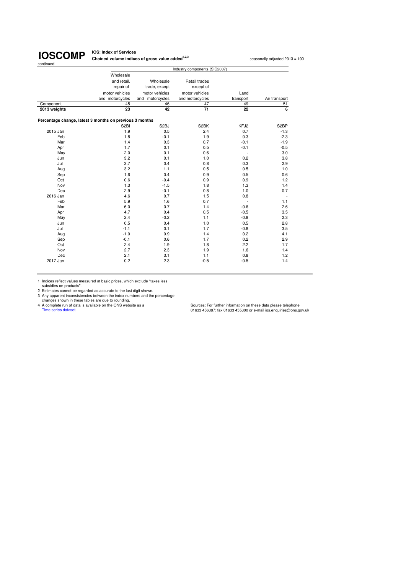# continued

**IOSCOMP** Chained volume indice **Chained volume indices of gross value added<sup>1,2,3</sup> seasonally adjusted 2013 = 100** 

|              | Industry components (SIC2007)                           |                   |                 |                          |                   |  |
|--------------|---------------------------------------------------------|-------------------|-----------------|--------------------------|-------------------|--|
|              | Wholesale                                               |                   |                 |                          |                   |  |
|              | and retail.                                             | Wholesale         | Retail trades   |                          |                   |  |
|              | repair of                                               | trade, except     | except of       |                          |                   |  |
|              | motor vehicles                                          | motor vehicles    | motor vehicles  | Land                     |                   |  |
|              | and motorcycles                                         | and motorcycles   | and motorcycles | transport                | Air transport     |  |
| Component    | 45                                                      | 46                | 47              | 49                       | 51                |  |
| 2013 weights | 23                                                      | 42                | 71              | 22                       | 6                 |  |
|              | Percentage change, latest 3 months on previous 3 months |                   |                 |                          |                   |  |
|              | S <sub>2</sub> BI                                       | S <sub>2</sub> BJ | S2BK            | KFJ2                     | S <sub>2</sub> BP |  |
| 2015 Jan     | 1.9                                                     | 0.5               | 2.4             | 0.7                      | $-1.3$            |  |
| Feb          | 1.8                                                     | $-0.1$            | 1.9             | 0.3                      | $-2.3$            |  |
| Mar          | 1.4                                                     | 0.3               | 0.7             | $-0.1$                   | $-1.9$            |  |
| Apr          | 1.7                                                     | 0.1               | 0.5             | $-0.1$                   | $-0.5$            |  |
| May          | 2.0                                                     | 0.1               | 0.6             | $\sim$                   | 3.0               |  |
| Jun          | 3.2                                                     | 0.1               | 1.0             | 0.2                      | 3.8               |  |
| Jul          | 3.7                                                     | 0.4               | 0.8             | 0.3                      | 2.9               |  |
| Aug          | 3.2                                                     | 1.1               | 0.5             | 0.5                      | 1.0               |  |
| Sep          | 1.6                                                     | 0.4               | 0.9             | 0.5                      | 0.6               |  |
| Oct          | 0.6                                                     | $-0.4$            | 0.9             | 0.9                      | 1.2               |  |
| Nov          | 1.3                                                     | $-1.5$            | 1.8             | 1.3                      | 1.4               |  |
| Dec          | 2.9                                                     | $-0.1$            | 0.8             | 1.0                      | 0.7               |  |
| 2016 Jan     | 4.6                                                     | 0.7               | 1.5             | 0.8                      |                   |  |
| Feb          | 5.9                                                     | 1.6               | 0.7             | $\overline{\phantom{a}}$ | 1.1               |  |
| Mar          | 6.0                                                     | 0.7               | 1.4             | $-0.6$                   | 2.6               |  |
| Apr          | 4.7                                                     | 0.4               | 0.5             | $-0.5$                   | 3.5               |  |
| May          | 2.4                                                     | $-0.2$            | 1.1             | $-0.8$                   | 2.3               |  |
| Jun          | 0.5                                                     | 0.4               | 1.0             | 0.5                      | 2.8               |  |
| Jul          | $-1.1$                                                  | 0.1               | 1.7             | $-0.8$                   | 3.5               |  |
| Aug          | $-1.0$                                                  | 0.9               | 1.4             | 0.2                      | 4.1               |  |
| Sep          | $-0.1$                                                  | 0.6               | 1.7             | 0.2                      | 2.9               |  |
| Oct          | 2.4                                                     | 1.9               | 1.8             | 2.2                      | 1.7               |  |
| Nov          | 2.7                                                     | 2.3               | 1.9             | 1.6                      | 1.4               |  |
| Dec          | 2.1                                                     | 3.1               | 1.1             | 0.8                      | 1.2               |  |
| 2017 Jan     | 0.2                                                     | 2.3               | $-0.5$          | $-0.5$                   | 1.4               |  |

1 Indices reflect values measured at basic prices, which exclude "taxes less

subsidies on products".<br>
2 Estimates cannot be regarded as accurate to the last digit shown.<br>
3 Any apparent inconsistencies between the index numbers and the percentage<br>
2 A complete run of data is a vailable on the ONS w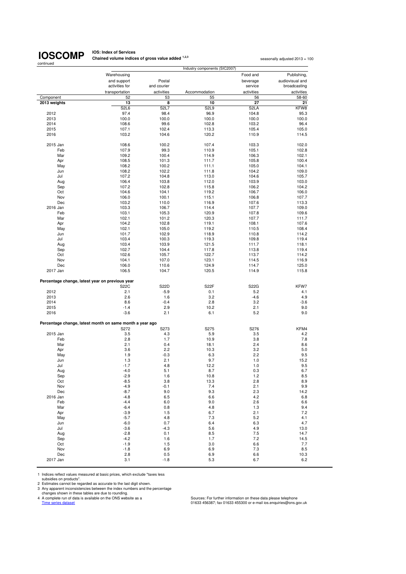# **IOSCOMP**

**IOS: Index of Services Chained volume indices of gross value added <sup>1,2,3</sup> seasonally adjusted 2013 = 100<br>
<b>Chained volume indices of gross value added** <sup>1,2,3</sup>

| continued    | Industry components (SIC2007)                                    |                               |                  |                   |                 |  |
|--------------|------------------------------------------------------------------|-------------------------------|------------------|-------------------|-----------------|--|
|              | Warehousing                                                      |                               |                  | Food and          | Publishing,     |  |
|              | and support                                                      | Postal                        |                  | beverage          | audiovisual and |  |
|              | activities for                                                   | and courier                   |                  | service           | broadcasting    |  |
|              | transportation                                                   | activities                    | Accommodation    | activities        | activities      |  |
| Component    | 52                                                               | 53                            | 55               | 56                | 58-60           |  |
| 2013 weights | 13                                                               | 8                             | 10               | 27                | 21              |  |
|              | S <sub>2</sub> L <sub>6</sub>                                    | S <sub>2</sub> L <sub>7</sub> | S <sub>2L9</sub> | S <sub>2</sub> LA | KFW8            |  |
| 2012         | 97.4                                                             | 98.4                          | 96.9             | 104.8             | 95.3            |  |
| 2013         | 100.0                                                            | 100.0<br>99.6                 | 100.0            | 100.0             | 100.0           |  |
| 2014<br>2015 | 108.6<br>107.1                                                   | 102.4                         | 102.8<br>113.3   | 103.2<br>105.4    | 96.4<br>105.0   |  |
| 2016         | 103.2                                                            | 104.6                         | 120.2            | 110.9             | 114.5           |  |
|              |                                                                  |                               |                  |                   |                 |  |
| 2015 Jan     | 108.6                                                            | 100.2                         | 107.4            | 103.3             | 102.0           |  |
| Feb          | 107.9                                                            | 99.3                          | 110.9            | 105.1             | 102.8           |  |
| Mar          | 109.2                                                            | 100.4                         | 114.9            | 106.3             | 102.1           |  |
| Apr          | 108.5                                                            | 101.3                         | 111.7            | 105.8             | 100.4           |  |
| May          | 108.2                                                            | 100.2                         | 111.1            | 105.0             | 104.1           |  |
| Jun          | 108.2                                                            | 102.2                         | 111.8            | 104.2             | 109.0           |  |
| Jul          | 107.2                                                            | 104.8                         | 113.0            | 104.6             | 105.7           |  |
| Aug          | 106.4                                                            | 103.8                         | 112.0            | 103.9             | 103.0           |  |
| Sep          | 107.2                                                            | 102.8                         | 115.8            | 106.2             | 104.2           |  |
| Oct          | 104.6                                                            | 104.1                         | 119.2            | 106.7             | 106.0           |  |
| Nov<br>Dec   | 106.0                                                            | 100.1                         | 115.1<br>116.9   | 106.8             | 107.7           |  |
| 2016 Jan     | 103.2                                                            | 110.0<br>106.7                | 114.4            | 107.6<br>107.7    | 113.3<br>109.0  |  |
| Feb          | 103.3<br>103.1                                                   | 105.3                         | 120.9            | 107.8             | 109.6           |  |
| Mar          | 102.1                                                            | 101.2                         | 120.3            | 107.7             | 111.7           |  |
| Apr          | 104.2                                                            | 102.8                         | 119.1            | 108.1             | 107.6           |  |
| May          | 102.1                                                            | 105.0                         | 119.2            | 110.5             | 108.4           |  |
| Jun          | 101.7                                                            | 102.9                         | 118.9            | 110.8             | 114.2           |  |
| Jul          | 103.4                                                            | 100.3                         | 119.3            | 109.8             | 119.4           |  |
| Aug          | 103.4                                                            | 103.9                         | 121.5            | 111.7             | 118.1           |  |
| Sep          | 102.7                                                            | 104.4                         | 117.8            | 113.8             | 119.4           |  |
| Oct          | 102.6                                                            | 105.7                         | 122.7            | 113.7             | 114.2           |  |
| Nov          | 104.1                                                            | 107.0                         | 123.1            | 114.5             | 116.9           |  |
| Dec          | 106.0                                                            | 110.6                         | 124.9            | 114.7             | 125.0           |  |
| 2017 Jan     | 106.5                                                            | 104.7                         | 120.5            | 114.9             | 115.8           |  |
|              | Percentage change, latest year on previous year                  |                               |                  |                   |                 |  |
|              | <b>S22C</b>                                                      | S22D                          | S22F             | <b>S22G</b>       | KFW7            |  |
| 2012         | 2.1                                                              | $-5.9$                        | 0.1              | 5.2               | 4.1             |  |
| 2013         | 2.6                                                              | 1.6                           | 3.2              | $-4.6$            | 4.9             |  |
| 2014         | 8.6<br>$-1.4$                                                    | $-0.4$<br>2.9                 | 2.8<br>10.2      | 3.2<br>2.1        | $-3.6$          |  |
| 2015<br>2016 | $-3.6$                                                           | 2.1                           | 6.1              | 5.2               | 9.0<br>9.0      |  |
|              |                                                                  |                               |                  |                   |                 |  |
|              | Percentage change, latest month on same month a year ago<br>S272 | S273                          | S275             | S276              | KFM4            |  |
| 2015 Jan     | 3.5                                                              | 4.3                           | 5.9              | 3.5               | 4.2             |  |
| Feb          | 2.8                                                              | 1.7                           | 10.9             | 3.8               | 7.8             |  |
| Mar          | 2.1                                                              | 0.4                           | 18.1             | 2.4               | 8.6             |  |
| Apr          | 3.6                                                              | 2.2                           | 10.3             | 3.2               | 5.0             |  |
| May          | 1.9                                                              | $-0.3$                        | 6.3              | 2.2               | 9.5             |  |
| Jun          | 1.3                                                              | 2.1                           | 9.7              | 1.0               | 15.2            |  |
| Jul          | $-1.7$                                                           | 4.8                           | 12.2             | 1.0               | 9.5             |  |
| Aug          | $-4.0$                                                           | 5.1                           | 8.7              | 0.3               | 6.7             |  |
| Sep          | $-2.9$                                                           | 1.6                           | 10.8             | 1.2               | 8.5             |  |
| Oct          | $-8.5$                                                           | 3.8                           | 13.3             | 2.8               | 8.9             |  |
| Nov          | $-4.9$                                                           | $-0.1$                        | 7.4              | 2.1               | 9.9             |  |
| Dec          | $-8.7$                                                           | 9.0                           | 9.3              | 2.3               | 14.2            |  |
| 2016 Jan     | $-4.8$                                                           | 6.5                           | 6.6              | 4.2               | 6.8             |  |
| Feb          | $-4.4$                                                           | 6.0                           | 9.0              | 2.6               | 6.6             |  |
| Mar          | $-6.4$                                                           | 0.8                           | 4.8              | 1.3               | 9.4             |  |
| Apr          | $-3.9$                                                           | 1.5                           | 6.7              | 2.1               | 7.2             |  |
| May<br>Jun   | $-5.7$<br>$-6.0$                                                 | 4.8<br>0.7                    | 7.3<br>6.4       | 5.2<br>6.3        | 4.1<br>4.7      |  |
| Jul          | $-3.6$                                                           | $-4.3$                        | 5.6              | 4.9               | 13.0            |  |
| Aug          | $-2.8$                                                           | 0.1                           | 8.5              | 7.5               | 14.7            |  |
| Sep          | $-4.2$                                                           | 1.6                           | 1.7              | 7.2               | 14.5            |  |
| Oct          | $-1.9$                                                           | 1.5                           | 3.0              | 6.6               | 7.7             |  |
| Nov          | $-1.8$                                                           | 6.9                           | 6.9              | 7.3               | 8.5             |  |
| Dec          | 2.8                                                              | 0.5                           | 6.9              | 6.6               | 10.3            |  |
| 2017 Jan     | 3.1                                                              | $-1.8$                        | 5.3              | 6.7               | 6.2             |  |

1 Indices reflect values measured at basic prices, which exclude "taxes less

subsidies on products".<br>
2 Estimates cannot be regarded as accurate to the last digit shown.<br>
3 Any apparent inconsistencies between the index numbers and the percentage<br>
changes shown in these tables are due to rounding.<br>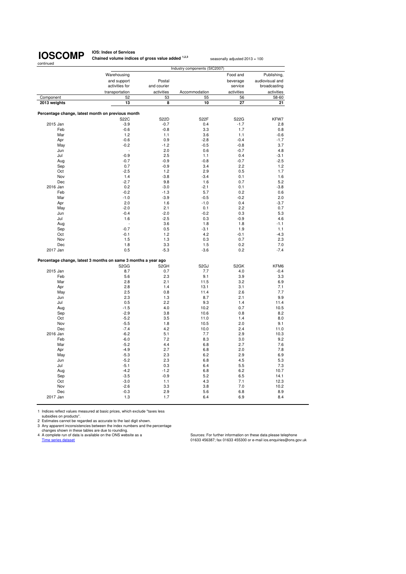**IOS: Index of Services Chained volume indices of gross value added <sup>1,2,3</sup> seasonally adjusted 2013 = 100** 

|              | Industry components (SIC2007)                                  |                   |                   |                   |                 |  |
|--------------|----------------------------------------------------------------|-------------------|-------------------|-------------------|-----------------|--|
|              | Warehousing                                                    |                   |                   | Food and          | Publishing,     |  |
|              | and support                                                    | Postal            |                   | beverage          | audiovisual and |  |
|              | activities for                                                 | and courier       |                   | service           | broadcasting    |  |
|              | transportation                                                 | activities        | Accommodation     | activities        | activities      |  |
| Component    | 52                                                             | 53                | 55                | 56                | 58-60           |  |
| 2013 weights | 13                                                             | 8                 | 10                | 27                | 21              |  |
|              |                                                                |                   |                   |                   |                 |  |
|              | Percentage change, latest month on previous month              |                   |                   |                   |                 |  |
|              | <b>S22C</b>                                                    | <b>S22D</b>       | S22F              | S22G              | KFW7            |  |
| 2015 Jan     | $-3.9$                                                         | $-0.7$            | 0.4               | $-1.7$            | 2.8             |  |
| Feb          | $-0.6$                                                         | $-0.8$            | 3.3               | 1.7               | 0.8             |  |
| Mar          | 1.2                                                            | 1.1               | 3.6               | 1.1               | $-0.6$          |  |
| Apr          | $-0.6$                                                         | 0.9               | $-2.8$            | $-0.4$            | $-1.7$          |  |
| May          | $-0.2$                                                         | $-1.2$            | $-0.5$            | $-0.8$            | 3.7             |  |
| Jun          |                                                                | 2.0               | 0.6               | $-0.7$            | 4.8             |  |
| Jul          | $-0.9$                                                         | 2.5               | 1.1               | 0.4               | -3.1            |  |
| Aug          | $-0.7$                                                         | $-0.9$            | $-0.8$            | $-0.7$            | $-2.5$          |  |
| Sep          | 0.7                                                            | $-0.9$            | 3.4               | 2.2               | 1.2             |  |
| Oct          | $-2.5$                                                         | 1.2               | 2.9               | 0.5               | 1.7             |  |
| Nov          | 1.4                                                            | $-3.8$            | $-3.4$            | 0.1               | 1.6             |  |
| Dec          | $-2.7$                                                         | 9.8               | 1.6               | 0.7               | 5.2             |  |
| 2016 Jan     | 0.2                                                            | $-3.0$            | $-2.1$            | 0.1               | $-3.8$          |  |
| Feb          | $-0.2$                                                         | $-1.3$            | 5.7               | 0.2               | 0.6             |  |
| Mar          | $-1.0$                                                         | $-3.9$            | $-0.5$            | $-0.2$            | 2.0             |  |
| Apr          | 2.0                                                            | 1.6               | $-1.0$            | 0.4               | $-3.7$          |  |
| May          | $-2.0$                                                         | 2.1               | 0.1               | 2.2               | 0.7             |  |
| Jun<br>Jul   | $-0.4$<br>1.6                                                  | $-2.0$<br>$-2.5$  | $-0.2$<br>0.3     | 0.3<br>$-0.9$     | 5.3<br>4.6      |  |
|              |                                                                | 3.6               | 1.8               | 1.8               | $-1.1$          |  |
| Aug<br>Sep   | $-0.7$                                                         | 0.5               | $-3.1$            | 1.9               | 1.1             |  |
| Oct          | $-0.1$                                                         | 1.2               | 4.2               | $-0.1$            | $-4.3$          |  |
| Nov          | 1.5                                                            | 1.3               | 0.3               | 0.7               | 2.3             |  |
| Dec          | 1.8                                                            | 3.3               | 1.5               | 0.2               | 7.0             |  |
| 2017 Jan     | 0.5                                                            | $-5.3$            | $-3.6$            | 0.2               | $-7.4$          |  |
|              |                                                                |                   |                   |                   |                 |  |
|              | Percentage change, latest 3 months on same 3 months a year ago |                   |                   |                   |                 |  |
|              | S <sub>2</sub> G <sub>G</sub>                                  | S <sub>2</sub> GH | S <sub>2</sub> GJ | S <sub>2</sub> GK | KFM6            |  |
| 2015 Jan     | 8.7                                                            | 0.7               | 7.7               | 4.0               | $-0.4$          |  |
| Feb          | 5.6                                                            | 2.3               | 9.1               | 3.9               | 3.3             |  |
| Mar          | 2.8                                                            | 2.1               | 11.5              | 3.2               | 6.9             |  |
| Apr          | 2.8                                                            | 1.4               | 13.1              | 3.1               | 7.1             |  |
| May          | 2.5                                                            | 0.8               | 11.4              | 2.6               | 7.7             |  |
| Jun          | 2.3                                                            | 1.3               | 8.7               | 2.1               | 9.9             |  |
| Jul          | 0.5                                                            | 2.2               | 9.3               | 1.4               | 11.4            |  |
| Aug          | $-1.5$                                                         | 4.0               | 10.2              | 0.7               | 10.5            |  |
| Sep          | $-2.9$                                                         | 3.8               | 10.6              | 0.8               | 8.2             |  |
| Oct          | $-5.2$                                                         | 3.5               | 11.0              | 1.4               | 8.0             |  |
| Nov          | $-5.5$                                                         | 1.8               | 10.5              | 2.0               | 9.1             |  |
| Dec          | $-7.4$                                                         | 4.2               | 10.0              | 2.4               | 11.0            |  |
| 2016 Jan     | $-6.2$                                                         | 5.1               | 7.7               | 2.9               | 10.3            |  |
| Feb          | $-6.0$                                                         | 7.2<br>4.4        | 8.3               | 3.0               | 9.2             |  |
| Mar<br>Apr   | $-5.2$<br>$-4.9$                                               | 2.7               | 6.8<br>6.8        | 2.7<br>2.0        | 7.6<br>7.8      |  |
| May          | $-5.3$                                                         | 2.3               | 6.2               | 2.9               | 6.9             |  |
| Jun          | $-5.2$                                                         | 2.3               | 6.8               | 4.5               | 5.3             |  |
| Jul          | $-5.1$                                                         | 0.3               | 6.4               | 5.5               | 7.3             |  |
| Aug          | $-4.2$                                                         | $-1.2$            | 6.8               | 6.2               | 10.7            |  |
| Sep          | $-3.5$                                                         | $-0.9$            | 5.2               | 6.5               | 14.1            |  |
| Oct          | $-3.0$                                                         | 1.1               | 4.3               | 7.1               | 12.3            |  |
| Nov          | $-2.6$                                                         | 3.3               | 3.8               | 7.0               | 10.2            |  |
| Dec          | $-0.3$                                                         | 2.9               | 5.6               | 6.8               | 8.9             |  |
| 2017 Jan     | 1.3                                                            | 1.7               | 6.4               | 6.9               | 8.4             |  |
|              |                                                                |                   |                   |                   |                 |  |

1 Indices reflect values measured at basic prices, which exclude "taxes less

subsidies on products". 2 Estimates cannot be regarded as accurate to the last digit shown.

3 Any apparent inconsistencies between the index numbers and the percentage<br>changes shown in these tables are due to rounding.<br>4 A complete run of data is available on the ONS website as a complete the Sources: For further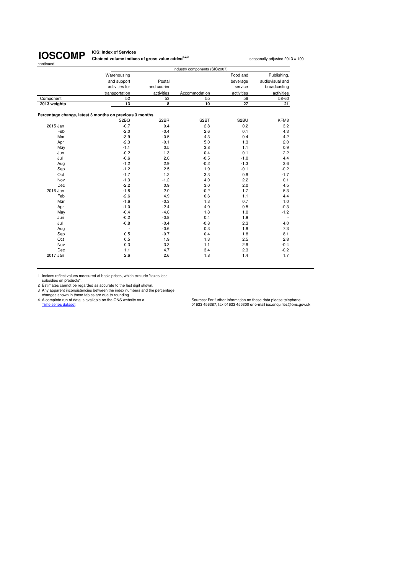**IOS: Index of Services Chained volume indices of gross value added<sup>1,2,3</sup> seasonally adjusted 2013 = 100** 

|              | Industry components (SIC2007)                           |                   |                   |            |                          |  |  |
|--------------|---------------------------------------------------------|-------------------|-------------------|------------|--------------------------|--|--|
|              | Warehousing                                             |                   |                   | Food and   | Publishing,              |  |  |
|              | and support                                             | Postal            |                   | beverage   | audiovisual and          |  |  |
|              | activities for                                          | and courier       |                   | service    | broadcasting             |  |  |
|              | transportation                                          | activities        | Accommodation     | activities | activities               |  |  |
| Component    | 52                                                      | 53                | 55                | 56         | 58-60                    |  |  |
| 2013 weights | 13                                                      | 8                 | 10                | 27         | 21                       |  |  |
|              | Percentage change, latest 3 months on previous 3 months |                   |                   |            |                          |  |  |
|              | S <sub>2</sub> BQ                                       | S <sub>2</sub> BR | S <sub>2</sub> BT | S2BU       | KFM8                     |  |  |
| 2015 Jan     | $-0.7$                                                  | 0.4               | 2.8               | 0.2        | 3.2                      |  |  |
| Feb          | $-2.0$                                                  | $-0.4$            | 2.6               | 0.1        | 4.3                      |  |  |
| Mar          | $-3.9$                                                  | $-0.5$            | 4.3               | 0.4        | 4.2                      |  |  |
| Apr          | $-2.3$                                                  | $-0.1$            | 5.0               | 1.3        | 2.0                      |  |  |
| May          | $-1.1$                                                  | 0.5               | 3.8               | 1.1        | 0.9                      |  |  |
| Jun          | $-0.2$                                                  | 1.3               | 0.4               | 0.1        | 2.2                      |  |  |
| Jul          | $-0.6$                                                  | 2.0               | $-0.5$            | $-1.0$     | 4.4                      |  |  |
| Aug          | $-1.2$                                                  | 2.9               | $-0.2$            | $-1.3$     | 3.6                      |  |  |
| Sep          | $-1.2$                                                  | 2.5               | 1.9               | $-0.1$     | $-0.2$                   |  |  |
| Oct          | $-1.7$                                                  | 1.2               | 3.3               | 0.9        | $-1.7$                   |  |  |
| Nov          | $-1.3$                                                  | $-1.2$            | 4.0               | 2.2        | 0.1                      |  |  |
| Dec          | $-2.2$                                                  | 0.9               | 3.0               | 2.0        | 4.5                      |  |  |
| 2016 Jan     | $-1.8$                                                  | 2.0               | $-0.2$            | 1.7        | 5.3                      |  |  |
| Feb          | $-2.6$                                                  | 4.9               | 0.6               | 1.1        | 4.4                      |  |  |
| Mar          | $-1.6$                                                  | $-0.3$            | 1.3               | 0.7        | 1.0                      |  |  |
| Apr          | $-1.0$                                                  | $-2.4$            | 4.0               | 0.5        | $-0.3$                   |  |  |
| May          | $-0.4$                                                  | $-4.0$            | 1.8               | 1.0        | $-1.2$                   |  |  |
| Jun          | $-0.2$                                                  | $-0.8$            | 0.4               | 1.9        | $\overline{\phantom{a}}$ |  |  |
| Jul          | $-0.8$                                                  | $-0.4$            | $-0.8$            | 2.3        | 4.0                      |  |  |
| Aug          |                                                         | $-0.6$            | 0.3               | 1.9        | 7.3                      |  |  |
| Sep          | 0.5                                                     | $-0.7$            | 0.4               | 1.8        | 8.1                      |  |  |
| Oct          | 0.5                                                     | 1.9               | 1.3               | 2.5        | 2.8                      |  |  |
| Nov          | 0.3                                                     | 3.3               | 1.1               | 2.9        | $-0.4$                   |  |  |
| Dec          | 1.1                                                     | 4.7               | 3.4               | 2.3        | $-0.2$                   |  |  |
| 2017 Jan     | 2.6                                                     | 2.6               | 1.8               | 1.4        | 1.7                      |  |  |

1 Indices reflect values measured at basic prices, which exclude "taxes less

subsidies on products".<br>
2 Estimates cannot be regarded as accurate to the last digit shown.<br>
3 Any apparent inconsistencies between the index numbers and the percentage<br>
2 Any apparent inconsistencies between the index nu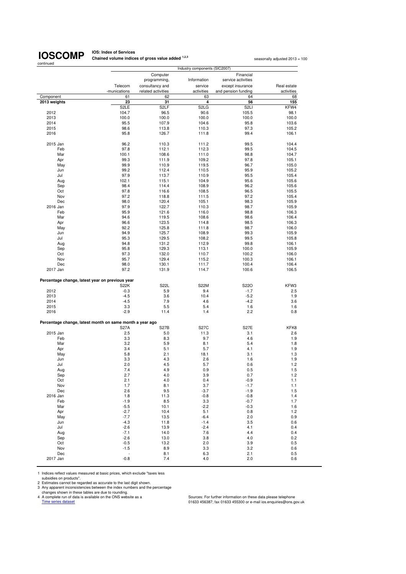# **IOSCOMP**

**IOS: Index of Services Chained volume indices of gross value added <sup>1,2,3</sup> seasonally adjusted 2013 = 100<br>
<b>Chained volume indices of gross value added** <sup>1,2,3</sup>

| continued                                                |                            | Industry components (SIC2007)   |                                       |                                        |               |  |
|----------------------------------------------------------|----------------------------|---------------------------------|---------------------------------------|----------------------------------------|---------------|--|
|                                                          |                            | Computer                        |                                       | Financial                              |               |  |
|                                                          | Telecom                    | programming,<br>consultancy and | Information<br>service                | service activities<br>except insurance | Real estate   |  |
|                                                          | -munications               | related activities              | activities                            | and pension funding                    | activities    |  |
| Component                                                | 61                         | 62                              | 63                                    | 64                                     | 68            |  |
| 2013 weights                                             | 23                         | 31                              | 4                                     | 56                                     | 155           |  |
|                                                          | S <sub>2</sub> LE<br>104.7 | S <sub>2LF</sub><br>96.5        | S <sub>2</sub> L <sub>G</sub><br>90.6 | S <sub>2LI</sub><br>105.5              | KFW4          |  |
| 2012<br>2013                                             | 100.0                      | 100.0                           | 100.0                                 | 100.0                                  | 98.1<br>100.0 |  |
| 2014                                                     | 95.5                       | 107.9                           | 104.6                                 | 95.8                                   | 103.6         |  |
| 2015                                                     | 98.6                       | 113.8                           | 110.3                                 | 97.3                                   | 105.2         |  |
| 2016                                                     | 95.8                       | 126.7                           | 111.8                                 | 99.4                                   | 106.1         |  |
| 2015 Jan                                                 | 96.2                       | 110.3                           | 111.2                                 | 99.5                                   | 104.4         |  |
| Feb                                                      | 97.8                       | 112.1                           | 112.3                                 | 99.5                                   | 104.5         |  |
| Mar                                                      | 100.1                      | 108.6                           | 111.0                                 | 98.8                                   | 104.7         |  |
| Apr                                                      | 99.3                       | 111.9                           | 109.2                                 | 97.8                                   | 105.1         |  |
| May                                                      | 99.9                       | 110.9                           | 119.5                                 | 96.7                                   | 105.0         |  |
| Jun                                                      | 99.2                       | 112.4                           | 110.5                                 | 95.9                                   | 105.2         |  |
| Jul                                                      | 97.9                       | 113.7                           | 110.9                                 | 95.5                                   | 105.4         |  |
| Aug                                                      | 102.1                      | 115.1                           | 104.9                                 | 95.6                                   | 105.6         |  |
| Sep                                                      | 98.4                       | 114.4                           | 108.9                                 | 96.2                                   | 105.6         |  |
| Oct                                                      | 97.8                       | 116.6                           | 108.5                                 | 96.5                                   | 105.5         |  |
| Nov                                                      | 97.2                       | 118.8                           | 111.5                                 | 97.2                                   | 105.4         |  |
| Dec                                                      | 98.0                       | 120.4                           | 105.1                                 | 98.3                                   |               |  |
| 2016 Jan                                                 | 97.9                       | 122.7                           |                                       | 98.7                                   | 105.9         |  |
|                                                          |                            |                                 | 110.3                                 |                                        | 105.9         |  |
| Feb                                                      | 95.9                       | 121.6                           | 116.0                                 | 98.8                                   | 106.3         |  |
| Mar                                                      | 94.6                       | 119.5                           | 108.6                                 | 98.6                                   | 106.4         |  |
| Apr                                                      | 96.6                       | 123.5                           | 114.8                                 | 98.5                                   | 106.3         |  |
| May                                                      | 92.2                       | 125.8                           | 111.8                                 | 98.7                                   | 106.0         |  |
| Jun                                                      | 94.9                       | 125.7                           | 108.9                                 | 99.3                                   | 105.9         |  |
| Jul                                                      | 95.3                       | 129.5                           | 108.2                                 | 99.5                                   | 105.8         |  |
| Aug                                                      | 94.8                       | 131.2                           | 112.9                                 | 99.8                                   | 106.1         |  |
| Sep                                                      | 95.8                       | 129.3                           | 113.1                                 | 100.0                                  | 105.9         |  |
| Oct                                                      | 97.3                       | 132.0                           | 110.7                                 | 100.2                                  | 106.0         |  |
| Nov                                                      | 95.7                       | 129.4                           | 115.2                                 | 100.3                                  | 106.1         |  |
| Dec                                                      | 98.0                       | 130.1                           | 111.7                                 | 100.4                                  | 106.4         |  |
| 2017 Jan                                                 | 97.2                       | 131.9                           | 114.7                                 | 100.6                                  | 106.5         |  |
| Percentage change, latest year on previous year          |                            |                                 |                                       |                                        |               |  |
|                                                          | <b>S22K</b>                | <b>S22L</b>                     | <b>S22M</b>                           | S22O                                   | KFW3          |  |
| 2012                                                     | $-0.3$                     | 5.9                             | 9.4                                   | $-1.7$                                 | 2.5           |  |
| 2013                                                     | $-4.5$                     | 3.6                             | 10.4                                  | $-5.2$                                 | 1.9           |  |
| 2014                                                     | $-4.5$                     | 7.9                             | 4.6                                   | $-4.2$                                 | 3.6           |  |
| 2015                                                     | 3.3                        | 5.5                             | 5.4                                   | 1.6                                    | 1.6           |  |
| 2016                                                     | $-2.9$                     | 11.4                            | 1.4                                   | 2.2                                    | 0.8           |  |
| Percentage change, latest month on same month a year ago |                            |                                 |                                       |                                        |               |  |
|                                                          | <b>S27A</b>                | <b>S27B</b>                     | <b>S27C</b>                           | <b>S27E</b>                            | KFK8          |  |
| 2015 Jan                                                 | 2.5                        | 5.0                             | 11.3                                  | 3.1                                    | 2.6           |  |
| Feb                                                      | 3.3                        | 8.3                             | 9.7                                   | 4.6                                    | 1.9           |  |
| Mar                                                      | 3.2                        | 5.9                             | 8.1                                   | 5.4                                    | 1.8           |  |
| Apr                                                      | 3.4                        | 5.1                             | 5.7                                   | 4.1                                    | 1.9           |  |
| May                                                      | 5.8                        | 2.1                             | 18.1                                  | 3.1                                    | 1.3           |  |
| Jun                                                      | 3.3                        | 4.3                             | 2.6                                   | 1.6                                    | 1.9           |  |
| Jul                                                      | 2.0                        | 4.5                             | 5.7                                   | 0.6                                    | 1.2           |  |
| Aug                                                      | 7.4                        | 4.9                             | 0.9                                   | 0.5                                    | 1.5           |  |
| Sep                                                      | 2.7                        | 4.0                             | 3.9                                   | 0.7                                    | 1.2           |  |
| Oct                                                      | 2.1                        | 4.0                             | 0.4                                   | $-0.9$                                 | 1.1           |  |
| Nov                                                      | 1.7                        | 8.1                             | 3.7                                   | $-1.7$                                 | 1.1           |  |
| Dec                                                      | 2.6                        | 9.5                             | $-3.7$                                | $-1.9$                                 | 1.5           |  |
| 2016 Jan                                                 | 1.8                        | 11.3                            | $-0.8$                                | $-0.8$                                 | 1.4           |  |
| Feb                                                      | $-1.9$                     | 8.5                             | 3.3                                   | $-0.7$                                 | 1.7           |  |
| Mar                                                      | $-5.5$                     | 10.1                            | $-2.2$                                | $-0.3$                                 | 1.6           |  |
|                                                          |                            |                                 |                                       |                                        |               |  |
| Apr                                                      | $-2.7$                     | 10.4                            | 5.1                                   | 0.8                                    | 1.2           |  |
| May                                                      | $-7.7$                     | 13.5                            | $-6.4$                                | 2.0                                    | 0.9           |  |
| Jun                                                      | $-4.3$                     | 11.8                            | $-1.4$                                | 3.5                                    | 0.6           |  |
| Jul                                                      | $-2.6$                     | 13.9                            | $-2.4$                                | 4.1                                    | 0.4           |  |
| Aug                                                      | $-7.1$                     | 14.0                            | 7.6                                   | 4.4                                    | 0.4           |  |
| Sep                                                      | $-2.6$                     | 13.0                            | 3.8                                   | 4.0                                    | 0.2           |  |
| Oct                                                      | $-0.5$                     | 13.2                            | 2.0                                   | 3.9                                    | 0.5           |  |
| Nov                                                      | $-1.5$                     | 8.9                             | 3.3                                   | 3.2                                    | 0.6           |  |
| Dec                                                      | ÷                          | 8.1                             | 6.3                                   | 2.1                                    | 0.5           |  |
| 2017 Jan                                                 | $-0.8$                     | 7.4                             | 4.0                                   | 2.0                                    | 0.6           |  |

1 Indices reflect values measured at basic prices, which exclude "taxes less

subsidies on products".<br>
2 Estimates cannot be regarded as accurate to the last digit shown.<br>
3 Any apparent inconsistencies between the index numbers and the percentage<br>
2 Any apparent inconsistencies between the index nu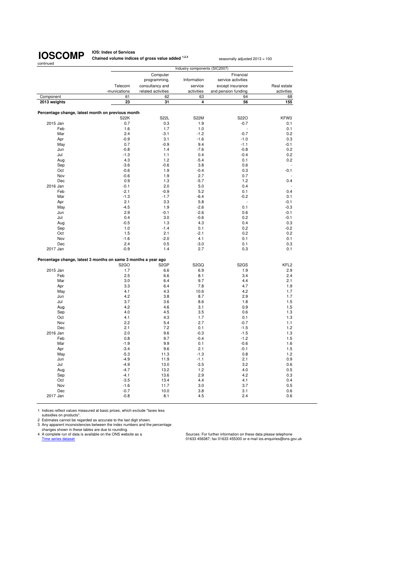**IOS: Index of Services Chained volume indices of gross value added <sup>1,2,3</sup> seasonally adjusted 2013 = 100** 

|                                                                |                         |                                       | Industry components (SIC2007) |                                         |                           |
|----------------------------------------------------------------|-------------------------|---------------------------------------|-------------------------------|-----------------------------------------|---------------------------|
|                                                                |                         | Computer<br>programming,              | Information                   | Financial<br>service activities         |                           |
|                                                                | Telecom<br>-munications | consultancy and<br>related activities | service<br>activities         | except insurance<br>and pension funding | Real estate<br>activities |
| Component                                                      | 61                      | 62                                    | 63                            | 64                                      | 68                        |
| 2013 weights                                                   | 23                      | 31                                    | 4                             | 56                                      | 155                       |
|                                                                |                         |                                       |                               |                                         |                           |
| Percentage change, latest month on previous month              | <b>S22K</b>             | <b>S22L</b>                           | <b>S22M</b>                   | S22O                                    | KFW3                      |
| 2015 Jan                                                       | 0.7                     | 0.3                                   | 1.9                           | $-0.7$                                  | 0.1                       |
| Feb                                                            | 1.6                     | 1.7                                   | 1.0                           | ٠                                       | 0.1                       |
| Mar                                                            | 2.4                     | $-3.1$                                | $-1.2$                        | $-0.7$                                  | 0.2                       |
| Apr                                                            | $-0.9$                  | 3.1                                   | $-1.6$                        | $-1.0$                                  | 0.3                       |
| May                                                            | 0.7                     | $-0.9$                                | 9.4                           | $-1.1$                                  | $-0.1$                    |
| Jun                                                            | $-0.8$                  | 1.4                                   | $-7.6$                        | $-0.8$                                  | 0.2                       |
| Jul                                                            | $-1.3$                  | 1.1                                   | 0.4                           | $-0.4$                                  | 0.2                       |
| Aug                                                            | 4.3                     | 1.2                                   | $-5.4$                        | 0.1                                     | 0.2                       |
| Sep                                                            | $-3.6$                  | $-0.6$                                | 3.8                           | 0.6                                     |                           |
| Oct                                                            | $-0.6$                  | 1.9                                   | $-0.4$                        | 0.3                                     | $-0.1$                    |
| Nov                                                            | $-0.6$                  | 1.9                                   | 2.7                           | 0.7                                     |                           |
| Dec                                                            | 0.9                     | 1.3                                   | $-5.7$                        | 1.2                                     | 0.4                       |
| 2016 Jan                                                       | $-0.1$                  | 2.0                                   | 5.0                           | 0.4                                     |                           |
| Feb                                                            | $-2.1$                  | $-0.9$                                | 5.2                           | 0.1                                     | 0.4                       |
| Mar                                                            | $-1.3$                  | $-1.7$                                | $-6.4$                        | $-0.2$                                  | 0.1                       |
| Apr                                                            | 2.1                     | 3.3                                   | 5.8                           | ÷,                                      | $-0.1$                    |
| May                                                            | $-4.5$                  | 1.9                                   | $-2.6$                        | 0.1                                     | $-0.3$                    |
| Jun                                                            | 2.9                     | $-0.1$                                | $-2.6$                        | 0.6                                     | $-0.1$                    |
| Jul                                                            | 0.4                     | 3.0                                   | $-0.6$                        | 0.2                                     | $-0.1$                    |
| Aug                                                            | $-0.5$                  | 1.3                                   | 4.3                           | 0.4                                     | 0.3                       |
| Sep                                                            | 1.0                     | $-1.4$                                | 0.1                           | 0.2                                     | $-0.2$                    |
| Oct                                                            | 1.5                     | 2.1                                   | $-2.1$                        | 0.2                                     | 0.2                       |
| Nov                                                            | $-1.6$                  | $-2.0$                                | 4.1                           | 0.1                                     | 0.1                       |
| Dec                                                            | 2.4                     | 0.5                                   | $-3.0$                        | 0.1                                     | 0.3                       |
| 2017 Jan                                                       | $-0.9$                  | 1.4                                   | 2.7                           | 0.3                                     | 0.1                       |
|                                                                |                         |                                       |                               |                                         |                           |
| Percentage change, latest 3 months on same 3 months a year ago | S <sub>2</sub> GO       | S <sub>2</sub> GP                     | S <sub>2</sub> GQ             | S <sub>2</sub> G <sub>S</sub>           | KFL <sub>2</sub>          |
| 2015 Jan                                                       | 1.7                     | 6.6                                   | 6.9                           | 1.9                                     | 2.9                       |
| Feb                                                            | 2.5                     | 6.6                                   | 8.1                           | 3.4                                     | 2.4                       |
| Mar                                                            | 3.0                     | 6.4                                   | 9.7                           | 4.4                                     | 2.1                       |
| Apr                                                            | 3.3                     | 6.4                                   | 7.8                           | 4.7                                     | 1.9                       |
| May                                                            | 4.1                     | 4.3                                   | 10.6                          | 4.2                                     | 1.7                       |
| Jun                                                            | 4.2                     | 3.8                                   | 8.7                           | 2.9                                     | 1.7                       |
| Jul                                                            | 3.7                     | 3.6                                   | 8.6                           | 1.8                                     | 1.5                       |
| Aug                                                            | 4.2                     | 4.6                                   | 3.1                           | 0.9                                     | 1.5                       |
| Sep                                                            | 4.0                     | 4.5                                   | 3.5                           | 0.6                                     | 1.3                       |
| Oct                                                            | 4.1                     | 4.3                                   | 1.7                           | 0.1                                     | 1.3                       |
| Nov                                                            | 2.2                     | 5.4                                   | 2.7                           | $-0.7$                                  | 1.1                       |
| Dec                                                            | 2.1                     | 7.2                                   | 0.1                           | $-1.5$                                  | 1.2                       |
| 2016 Jan                                                       | 2.0                     | 9.6                                   | $-0.3$                        | $-1.5$                                  | 1.3                       |
| Feb                                                            | 0.8                     | 9.7                                   | $-0.4$                        | $-1.2$                                  | 1.5                       |
| Mar                                                            | $-1.9$                  | 9.9                                   | 0.1                           | $-0.6$                                  | 1.6                       |
| Apr                                                            | $-3.4$                  | 9.6                                   | 2.1                           | $-0.1$                                  | 1.5                       |
| May                                                            | $-5.3$                  | 11.3                                  | $-1.3$                        | 0.8                                     | 1.2                       |
| Jun                                                            | $-4.9$                  | 11.9                                  | $-1.1$                        | 2.1                                     | 0.9                       |
| Jul                                                            | $-4.9$                  | 13.0                                  | $-3.5$                        | 3.2                                     | 0.6                       |
|                                                                |                         |                                       | 1.2                           | 4.0                                     | 0.5                       |
| Aug                                                            | $-4.7$                  | 13.2                                  |                               |                                         |                           |
| Sep                                                            | $-4.1$                  | 13.6                                  | 2.9                           | 4.2                                     | 0.3                       |
| Oct                                                            | $-3.5$                  | 13.4                                  | 4.4                           | 4.1                                     | 0.4                       |
| Nov                                                            | $-1.6$                  | 11.7                                  | 3.0                           | 3.7                                     | 0.5                       |
| Dec<br>2017 Jan                                                | $-0.7$<br>$-0.8$        | 10.0                                  | 3.8<br>4.5                    | 3.1<br>2.4                              | 0.6<br>0.6                |

1 Indices reflect values measured at basic prices, which exclude "taxes less<br>subsidies on products".<br>2 Estimates cannot be regarded as accurate to the last digit shown.<br>3 Any apparent inconsistencies between the index numb

Time series data is available on the ONS website as a<br>
A complete run of data is available on the ONS website as a<br>
Time series dataset dataset of data is available on the ONS website as a<br>
O1633 456387; fax 01633 456300 o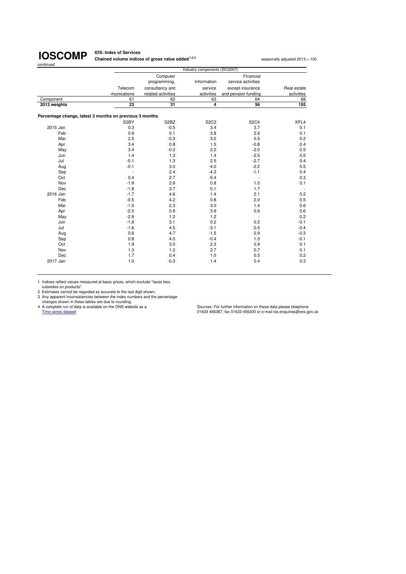**IOS: Index of Services Chained volume indices of gross value added <sup>1,2,3</sup> seasonally adjusted 2013 = 100** 

|                                                         | Industry components (SIC2007) |                               |                |                          |                |  |
|---------------------------------------------------------|-------------------------------|-------------------------------|----------------|--------------------------|----------------|--|
|                                                         |                               | Computer                      |                | Financial                |                |  |
|                                                         |                               | programming,                  | Information    | service activities       |                |  |
|                                                         | Telecom                       | consultancy and               | service        | except insurance         | Real estate    |  |
|                                                         | -munications                  | related activities            | activities     | and pension funding      | activities     |  |
| Component                                               | 61                            | 62                            | 63             | 64                       | 68             |  |
| 2013 weights                                            | 23                            | 31                            | $\overline{4}$ | 56                       | 155            |  |
| Percentage change, latest 3 months on previous 3 months |                               |                               |                |                          |                |  |
|                                                         | S2BY                          | S <sub>2</sub> B <sub>Z</sub> | <b>S2C2</b>    | <b>S2C4</b>              | KFL4           |  |
| 2015 Jan                                                | 0.3                           | $-0.5$                        | 3.4            | 3.7                      | 0.1            |  |
| Feb                                                     | 0.9                           | 0.1                           | 3.8            | 2.6                      | 0.1            |  |
| Mar                                                     | 2.5                           | $-0.3$                        | 3.0            | 0.5                      | 0.2            |  |
| Apr                                                     | 3.4                           | 0.8                           | 1.5            | $-0.8$                   | 0.4            |  |
| May                                                     | 3.4                           | $-0.3$                        | 2.2            | $-2.0$                   | 0.5            |  |
| Jun                                                     | 1.4                           | 1.3                           | 1.4            | $-2.5$                   | 0.5            |  |
| Jul                                                     | $-0.1$                        | 1.3                           | 2.5            | $-2.7$                   | 0.4            |  |
| Aug                                                     | $-0.1$                        | 3.0                           | $-4.0$         | $-2.2$                   | 0.5            |  |
| Sep                                                     | $\overline{a}$                | 2.4                           | $-4.3$         | $-1.1$                   | 0.4            |  |
| Oct                                                     | 0.4                           | 2.7                           | $-5.4$         | $\overline{\phantom{a}}$ | 0.3            |  |
| Nov                                                     | $-1.9$                        | 2.6                           | 0.8            | 1.0                      | 0.1            |  |
| Dec                                                     | $-1.8$                        | 3.7                           | 0.1            | 1.7                      | $\overline{a}$ |  |
| 2016 Jan                                                | $-1.7$                        | 4.6                           | 1.4            | 2.1                      | 0.2            |  |
| Feb                                                     | $-0.5$                        | 4.2                           | 0.8            | 2.0                      | 0.5            |  |
| Mar                                                     | $-1.5$                        | 2.3                           | 3.0            | 1.4                      | 0.6            |  |
| Apr                                                     | $-2.0$                        | 0.8                           | 3.9            | 0.6                      | 0.6            |  |
| May                                                     | $-2.9$                        | 1.2                           | 1.2            | $\overline{\phantom{a}}$ | 0.2            |  |
| Jun                                                     | $-1.6$                        | 3.1                           | 0.2            | 0.2                      | $-0.1$         |  |
| Jul                                                     | $-1.6$                        | 4.5                           | $-3.1$         | 0.5                      | $-0.4$         |  |
| Aug                                                     | 0.6                           | 4.7                           | $-1.5$         | 0.9                      | $-0.3$         |  |
| Sep                                                     | 0.8                           | 4.0                           | $-0.4$         | 1.0                      | $-0.1$         |  |
| Oct                                                     | 1.9                           | 3.0                           | 2.3            | 0.9                      | 0.1            |  |
| Nov                                                     | 1.3                           | 1.2                           | 2.7            | 0.7                      | 0.1            |  |
| Dec                                                     | 1.7                           | 0.4                           | 1.0            | 0.5                      | 0.2            |  |
| 2017 Jan                                                | 1.0                           | $-0.3$                        | 1.4            | 0.4                      | 0.3            |  |

1 Indices reflect values measured at basic prices, which exclude "taxes less subsidies on products".

2 Estimates cannot be regarded as accurate to the last digit shown.<br>
2 Any apparent inconsistencies between the index numbers and the percentage<br>
changes shown in these tables are due to rounding.<br>
4 A complete run of data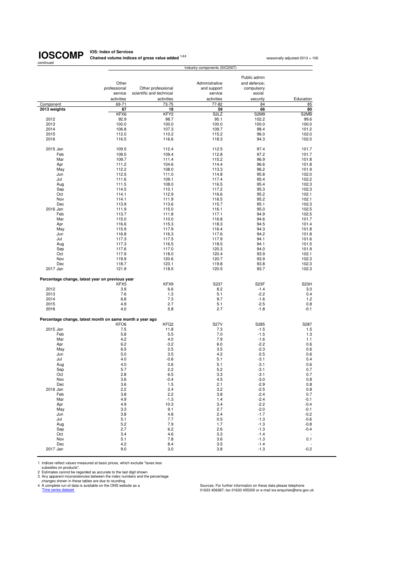# continued

**IOSCOMP** Chained volume indices of gross value added <sup>1,2,3</sup> seasonally adjusted 2013 = 100<br>
seasonally adjusted 2013 = 100

|                                                          |                  |                          | Industry components (SIC2007) |              |                          |
|----------------------------------------------------------|------------------|--------------------------|-------------------------------|--------------|--------------------------|
|                                                          |                  |                          |                               |              |                          |
|                                                          |                  |                          |                               | Public admin |                          |
|                                                          | Other            |                          | Administrative                | and defence; |                          |
|                                                          | professional     | Other professional       | and support                   | compulsory   |                          |
|                                                          | service          | scientific and technical | service                       | social       |                          |
|                                                          |                  |                          |                               |              |                          |
|                                                          | activities       | activities               | activities                    | security     | Education                |
| Component                                                | 69-71            | 73-75                    | 77-82                         | 84           | 85                       |
| 2013 weights                                             | 67               | 18                       | 59                            | 66           | 80                       |
|                                                          | KFX6             | KFY2                     | S <sub>2</sub> L <sub>Z</sub> | S2M9         | S2MB                     |
| 2012                                                     | 92.9             | 98.7                     | 95.1                          | 102.2        | 99.6                     |
| 2013                                                     | 100.0            | 100.0                    | 100.0                         | 100.0        | 100.0                    |
| 2014                                                     | 106.8            | 107.3                    | 109.7                         | 98.4         | 101.2                    |
| 2015                                                     | 112.0            | 110.2                    | 115.2                         | 96.0         | 102.0                    |
| 2016                                                     | 116.5            | 116.6                    | 118.3                         | 94.3         | 102.0                    |
|                                                          |                  |                          |                               |              |                          |
| 2015 Jan                                                 | 109.5            | 112.4                    | 112.5                         | 97.4         | 101.7                    |
| Feb                                                      | 109.5            | 109.4                    | 112.8                         | 97.2         | 101.7                    |
|                                                          |                  |                          |                               |              |                          |
| Mar                                                      | 109.7            | 111.4                    | 115.2                         | 96.9         | 101.8                    |
| Apr                                                      | 111.2            | 104.6                    | 114.4                         | 96.6         | 101.8                    |
| May                                                      | 112.2            | 108.0                    | 113.3                         | 96.2         | 101.9                    |
| Jun                                                      | 112.5            | 111.0                    | 114.8                         | 95.8         | 102.0                    |
| Jul                                                      | 111.6            | 109.1                    | 117.4                         | 95.4         | 102.2                    |
| Aug                                                      | 111.5            | 108.0                    | 116.5                         | 95.4         | 102.3                    |
| Sep                                                      | 114.5            | 110.1                    | 117.2                         | 95.3         | 102.3                    |
|                                                          |                  |                          |                               |              |                          |
| Oct                                                      | 114.1            | 112.9                    | 116.6                         | 95.2         | 102.1                    |
| Nov                                                      | 114.1            | 111.9                    | 116.5                         | 95.2         | 102.1                    |
| Dec                                                      | 113.9            | 113.6                    | 115.7                         | 95.1         | 102.3                    |
| 2016 Jan                                                 | 111.9            | 115.0                    | 116.1                         | 95.0         | 102.5                    |
| Feb                                                      | 113.7            | 111.8                    | 117.1                         | 94.9         | 102.5                    |
| Mar                                                      | 115.0            | 110.0                    | 116.8                         | 94.6         | 101.7                    |
| Apr                                                      | 116.6            | 115.3                    | 118.3                         | 94.5         | 101.4                    |
| May                                                      | 115.9            | 117.9                    | 116.4                         | 94.3         | 101.8                    |
|                                                          |                  |                          |                               |              |                          |
| Jun                                                      | 116.8            | 116.3                    | 117.6                         | 94.2         | 101.8                    |
| Jul                                                      | 117.3            | 117.5                    | 117.9                         | 94.1         | 101.6                    |
| Aug                                                      | 117.3            | 116.5                    | 118.5                         | 94.1         | 101.5                    |
| Sep                                                      | 117.6            | 117.0                    | 120.3                         | 94.0         | 101.9                    |
| Oct                                                      | 117.9            | 118.0                    | 120.4                         | 93.9         | 102.1                    |
| Nov                                                      | 119.9            | 120.6                    | 120.7                         | 93.9         | 102.3                    |
| Dec                                                      | 118.7            | 123.1                    | 119.8                         | 93.8         | 102.3                    |
| 2017 Jan                                                 | 121.9            | 118.5                    | 120.5                         | 93.7         | 102.3                    |
|                                                          |                  |                          |                               |              |                          |
| Percentage change, latest year on previous year          |                  |                          |                               | S23F         |                          |
|                                                          | KFX5             | KFX9                     | S237                          |              | S <sub>23</sub> H        |
| 2012                                                     | 3.9              | 6.6                      | 8.2                           | $-1.4$       | 3.0                      |
| 2013                                                     | 7.6              | 1.3                      | 5.1                           | $-2.2$       | 0.4                      |
| 2014                                                     | 6.8              | 7.3                      | 9.7                           | $-1.6$       | 1.2                      |
| 2015                                                     | 4.9              | 2.7                      | 5.1                           | $-2.5$       | 0.8                      |
| 2016                                                     | 4.0              | 5.8                      | 2.7                           | $-1.8$       | -0.1                     |
| Percentage change, latest month on same month a year ago |                  |                          |                               |              |                          |
|                                                          | KFO <sub>6</sub> | KFQ2                     | <b>S27V</b>                   | S285         | S287                     |
| 2015 Jan                                                 | 7.5              | 11.8                     | 7.3                           | $-1.5$       | 1.5                      |
| Feb                                                      | 5.8              | 5.5                      | 7.0                           | $-1.5$       |                          |
|                                                          |                  |                          |                               |              | 1.3                      |
| Mar                                                      | 4.2              | 4.0                      | 7.9                           | $-1.6$       | 1.1                      |
| Apr                                                      | 6.2              | $-3.2$                   | 6.0                           | $-2.2$       | 0.6                      |
| May                                                      | 6.5              | 2.5                      | 3.5                           | $-2.3$       | 0.6                      |
| Jun                                                      | 5.0              | 3.5                      | 4.2                           | $-2.5$       | 0.6                      |
| Jul                                                      | 4.0              | $-0.6$                   | 5.1                           | $-3.1$       | 0.4                      |
| Aug                                                      | 4.0              | 0.6                      | 5.1                           | $-3.1$       | 0.6                      |
| Sep                                                      | 5.7              | 2.2                      | 5.2                           | $-3.1$       | 0.7                      |
| Oct                                                      | 2.8              | 6.5                      | 3.3                           | $-3.1$       | 0.7                      |
| Nov                                                      |                  | $-0.4$                   | 4.5                           | $-3.0$       |                          |
|                                                          | 3.6              |                          |                               |              | 0.8                      |
| Dec                                                      | 3.6              | 1.5                      | 2.1                           | $-2.9$       | 0.8                      |
| 2016 Jan                                                 | 2.2              | 2.4                      | 3.2                           | $-2.5$       | 0.8                      |
| Feb                                                      | 3.8              | 2.2                      | 3.8                           | $-2.4$       | 0.7                      |
| Mar                                                      | 4.9              | $-1.3$                   | 1.4                           | $-2.4$       | $-0.1$                   |
| Apr                                                      | 4.9              | 10.3                     | 3.4                           | $-2.2$       | $-0.4$                   |
| May                                                      | 3.3              | 9.1                      | 2.7                           | $-2.0$       | $-0.1$                   |
| Jun                                                      | 3.8              | 4.8                      | 2.4                           | $-1.7$       | $-0.2$                   |
| Jul                                                      | 5.1              | 7.7                      | 0.5                           | $-1.3$       | $-0.6$                   |
|                                                          |                  |                          |                               |              |                          |
| Aug                                                      | 5.2              | 7.9                      | 1.7                           | $-1.3$       | $-0.8$                   |
| Sep                                                      | 2.7              | 6.2                      | 2.6                           | $-1.3$       | $-0.4$                   |
| Oct                                                      | 3.4              | 4.6                      | 3.3                           | $-1.4$       | $\overline{\phantom{a}}$ |
| Nov                                                      | 5.1              | 7.8                      | 3.6                           | $-1.3$       | 0.1                      |
| Dec                                                      | 4.2              | 8.4                      | 3.5                           | $-1.4$       |                          |
| 2017 Jan                                                 | 9.0              | 3.0                      | 3.8                           | $-1.3$       | $-0.2$                   |

1 Indices reflect values measured at basic prices, which exclude "taxes less<br>
2 Estimates can products".<br>
2 Estimates cannot be regarded as accurate to the last digit shown.<br>
2 Any apparent inconsistencies between the inde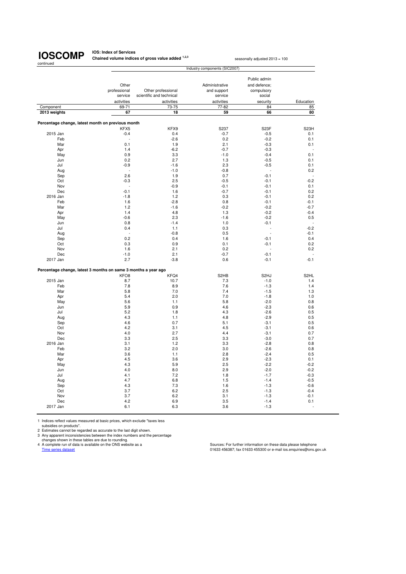**IOS: Index of Services Chained volume indices of gross value added <sup>1,2,3</sup> seasonally adjusted 2013 = 100** 

|                                                                |                  |                          | Industry components (SIC2007) |                   |                   |
|----------------------------------------------------------------|------------------|--------------------------|-------------------------------|-------------------|-------------------|
|                                                                |                  |                          |                               |                   |                   |
|                                                                |                  |                          |                               | Public admin      |                   |
|                                                                | Other            |                          | Administrative                | and defence;      |                   |
|                                                                | professional     | Other professional       | and support                   | compulsory        |                   |
|                                                                | service          | scientific and technical | service                       | social            |                   |
|                                                                | activities       | activities               | activities                    | security          | Education         |
| Component                                                      | 69-71            | 73-75                    | 77-82                         | 84                | 85                |
|                                                                |                  |                          |                               |                   |                   |
| 2013 weights                                                   | 67               | 18                       | 59                            | 66                | 80                |
|                                                                |                  |                          |                               |                   |                   |
| Percentage change, latest month on previous month              |                  |                          |                               |                   |                   |
|                                                                | KFX5             | KFX9                     | S237                          | S <sub>23</sub> F | S <sub>23</sub> H |
| 2015 Jan                                                       | $-0.4$           | 0.4                      | $-0.7$                        | $-0.5$            | 0.1               |
| Feb                                                            |                  | $-2.6$                   | 0.2                           | $-0.2$            | 0.1               |
| Mar                                                            | 0.1              | 1.9                      | 2.1                           | $-0.3$            | 0.1               |
| Apr                                                            | 1.4              | $-6.2$                   | $-0.7$                        | $-0.3$            |                   |
| May                                                            | 0.9              | 3.3                      | $-1.0$                        | $-0.4$            | 0.1               |
| Jun                                                            | 0.2              | 2.7                      | 1.3                           | $-0.5$            | 0.1               |
| Jul                                                            | $-0.9$           | $-1.6$                   | 2.3                           | $-0.5$            | 0.1               |
| Aug                                                            | ÷.               | $-1.0$                   | $-0.8$                        | ÷,                | 0.2               |
| Sep                                                            | 2.6              | 1.9                      | 0.7                           | $-0.1$            | ÷,                |
| Oct                                                            | $-0.3$           | 2.5                      | $-0.5$                        | $-0.1$            | $-0.2$            |
|                                                                |                  |                          |                               |                   |                   |
| Nov                                                            |                  | $-0.9$                   | $-0.1$                        | $-0.1$            | 0.1               |
| Dec                                                            | $-0.1$           | 1.6                      | $-0.7$                        | $-0.1$            | 0.2               |
| 2016 Jan                                                       | $-1.8$           | 1.2                      | 0.3                           | $-0.1$            | 0.2               |
| Feb                                                            | 1.6              | $-2.8$                   | 0.8                           | $-0.1$            | $-0.1$            |
| Mar                                                            | 1.2              | $-1.6$                   | $-0.2$                        | $-0.2$            | $-0.7$            |
| Apr                                                            | 1.4              | 4.8                      | 1.3                           | $-0.2$            | $-0.4$            |
| May                                                            | $-0.6$           | 2.3                      | $-1.6$                        | $-0.2$            | 0.5               |
| Jun                                                            | 0.8              | $-1.4$                   | 1.0                           | $-0.1$            |                   |
| Jul                                                            | 0.4              | 1.1                      | 0.3                           |                   | $-0.2$            |
|                                                                |                  | $-0.8$                   | 0.5                           |                   | $-0.1$            |
| Aug                                                            |                  |                          |                               |                   |                   |
| Sep                                                            | 0.2              | 0.4                      | 1.6                           | $-0.1$            | 0.4               |
| Oct                                                            | 0.3              | 0.9                      | 0.1                           | $-0.1$            | 0.2               |
| Nov                                                            | 1.6              | 2.1                      | 0.2                           |                   | 0.2               |
| Dec                                                            | $-1.0$           | 2.1                      | $-0.7$                        | $-0.1$            | ä,                |
| 2017 Jan                                                       | 2.7              | $-3.8$                   | 0.6                           | $-0.1$            | $-0.1$            |
|                                                                |                  |                          |                               |                   |                   |
| Percentage change, latest 3 months on same 3 months a year ago |                  |                          |                               |                   |                   |
|                                                                | KFO <sub>8</sub> | KFQ4                     | S <sub>2</sub> HB             | S <sub>2</sub> HJ | S <sub>2HL</sub>  |
| 2015 Jan                                                       | 8.7              | 10.7                     | 7.3                           | $-1.0$            | 1.4               |
| Feb                                                            | 7.8              | 8.9                      | 7.6                           | $-1.3$            | 1.4               |
| Mar                                                            | 5.8              | 7.0                      | 7.4                           | $-1.5$            | 1.3               |
| Apr                                                            | 5.4              | 2.0                      | 7.0                           | $-1.8$            | 1.0               |
| May                                                            | 5.6              | 1.1                      | 5.8                           | $-2.0$            | 0.8               |
| Jun                                                            | 5.9              | 0.9                      | 4.6                           | $-2.3$            | 0.6               |
| Jul                                                            | 5.2              | 1.8                      | 4.3                           | $-2.6$            | 0.5               |
|                                                                |                  |                          |                               |                   |                   |
| Aug                                                            | 4.3              | 1.1                      | 4.8                           | $-2.9$            | 0.5               |
| Sep                                                            | 4.6              | 0.7                      | 5.1                           | $-3.1$            | 0.5               |
| Oct                                                            | 4.2              | 3.1                      | 4.5                           | $-3.1$            | 0.6               |
| Nov                                                            | 4.0              | 2.7                      | 4.4                           | $-3.1$            | 0.7               |
| Dec                                                            | 3.3              | 2.5                      | 3.3                           | $-3.0$            | 0.7               |
| 2016 Jan                                                       | 3.1              | 1.2                      | 3.3                           | $-2.8$            | 0.8               |
| Feb                                                            | 3.2              | 2.0                      | 3.0                           | $-2.6$            | 0.8               |
| Mar                                                            | 3.6              | 1.1                      | 2.8                           | $-2.4$            | 0.5               |
| Apr                                                            | 4.5              | 3.6                      | 2.9                           | $-2.3$            | 0.1               |
| May                                                            | 4.3              | 5.9                      | 2.5                           | $-2.2$            | $-0.2$            |
|                                                                |                  |                          |                               |                   |                   |
| Jun                                                            | 4.0              | 8.0                      | 2.9                           | $-2.0$            | $-0.2$            |
| Jul                                                            | 4.1              | 7.2                      | 1.8                           | $-1.7$            | $-0.3$            |
| Aug                                                            | 4.7              | 6.8                      | 1.5                           | $-1.4$            | $-0.5$            |
| Sep                                                            | 4.3              | 7.3                      | 1.6                           | $-1.3$            | $-0.6$            |
| Oct                                                            | 3.7              | 6.2                      | 2.5                           | $-1.3$            | $-0.4$            |
| Nov                                                            | 3.7              | 6.2                      | 3.1                           | $-1.3$            | $-0.1$            |
| Dec                                                            | 4.2              | 6.9                      | 3.5                           | $-1.4$            | 0.1               |
|                                                                |                  |                          |                               |                   |                   |

1 Indices reflect values measured at basic prices, which exclude "taxes less

subsidies on products".<br>
2 Estimates cannot be regarded as accurate to the last digit shown.<br>
3 Any apparent inconsistencies between the index numbers and the percentage<br>
changes shown in these tables are due to rounding.<br>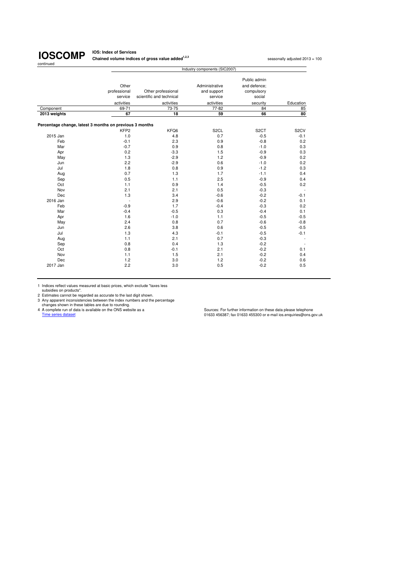**IOS: Index of Services Chained volume indices of gross value added<sup>1,2,3</sup> seasonally adjusted 2013 = 100<br>
<b>Chained volume indices of gross value added**<sup>1,2,3</sup>

|                                                         | Industry components (SIC2007) |                          |                   |                   |                   |  |  |  |
|---------------------------------------------------------|-------------------------------|--------------------------|-------------------|-------------------|-------------------|--|--|--|
|                                                         |                               |                          |                   | Public admin      |                   |  |  |  |
|                                                         | Other<br>professional         | Other professional       | Administrative    | and defence:      |                   |  |  |  |
|                                                         | service                       |                          | and support       | compulsory        |                   |  |  |  |
|                                                         |                               | scientific and technical | service           | social            |                   |  |  |  |
|                                                         | activities                    | activities               | activities        | security          | Education         |  |  |  |
| Component                                               | 69-71                         | 73-75                    | 77-82             | 84                | 85                |  |  |  |
| 2013 weights                                            | 67                            | 18                       | 59                | 66                | 80                |  |  |  |
| Percentage change, latest 3 months on previous 3 months |                               |                          |                   |                   |                   |  |  |  |
|                                                         | KFP <sub>2</sub>              | KFQ6                     | S <sub>2</sub> CL | S <sub>2</sub> CT | S <sub>2</sub> CV |  |  |  |
| 2015 Jan                                                | 1.0                           | 4.8                      | 0.7               | $-0.5$            | $-0.1$            |  |  |  |
| Feb                                                     | $-0.1$                        | 2.3                      | 0.9               | $-0.8$            | 0.2               |  |  |  |
| Mar                                                     | $-0.7$                        | 0.9                      | 0.8               | $-1.0$            | 0.3               |  |  |  |
| Apr                                                     | 0.2                           | $-3.3$                   | 1.5               | $-0.9$            | 0.3               |  |  |  |
| May                                                     | 1.3                           | $-2.9$                   | 1.2               | $-0.9$            | 0.2               |  |  |  |
| Jun                                                     | 2.2                           | $-2.9$                   | 0.6               | $-1.0$            | 0.2               |  |  |  |
| Jul                                                     | 1.8                           | 0.8                      | 0.9               | $-1.2$            | 0.3               |  |  |  |
| Aug                                                     | 0.7                           | 1.3                      | 1.7               | $-1.1$            | 0.4               |  |  |  |
| Sep                                                     | 0.5                           | 1.1                      | 2.5               | $-0.9$            | 0.4               |  |  |  |
| Oct                                                     | 1.1                           | 0.9                      | 1.4               | $-0.5$            | 0.2               |  |  |  |
| Nov                                                     | 2.1                           | 2.1                      | 0.5               | $-0.3$            |                   |  |  |  |
| Dec                                                     | 1.3                           | 3.4                      | $-0.6$            | $-0.2$            | $-0.1$            |  |  |  |
| 2016 Jan                                                | $\overline{\phantom{a}}$      | 2.9                      | $-0.6$            | $-0.2$            | 0.1               |  |  |  |
| Feb                                                     | $-0.9$                        | 1.7                      | $-0.4$            | $-0.3$            | 0.2               |  |  |  |
| Mar                                                     | $-0.4$                        | $-0.5$                   | 0.3               | $-0.4$            | 0.1               |  |  |  |
| Apr                                                     | 1.6                           | $-1.0$                   | 1.1               | $-0.5$            | $-0.5$            |  |  |  |
| May                                                     | 2.4                           | 0.8                      | 0.7               | $-0.6$            | $-0.8$            |  |  |  |
| Jun                                                     | 2.6                           | 3.8                      | 0.6               | $-0.5$            | $-0.5$            |  |  |  |
| Jul                                                     | 1.3                           | 4.3                      | $-0.1$            | $-0.5$            | $-0.1$            |  |  |  |
| Aug                                                     | 1.1                           | 2.1                      | 0.7               | $-0.3$            |                   |  |  |  |
| Sep                                                     | 0.8                           | 0.4                      | 1.3               | $-0.2$            |                   |  |  |  |
| Oct                                                     | 0.8                           | $-0.1$                   | 2.1               | $-0.2$            | 0.1               |  |  |  |
| Nov                                                     | 1.1                           | 1.5                      | 2.1               | $-0.2$            | 0.4               |  |  |  |
| Dec                                                     | 1.2                           | 3.0                      | 1.2               | $-0.2$            | 0.6               |  |  |  |
| 2017 Jan                                                | 2.2                           | 3.0                      | 0.5               | $-0.2$            | 0.5               |  |  |  |

1 Indices reflect values measured at basic prices, which exclude "taxes less<br>
2 Estimates cannot be regarded as accurate to the last digit shown.<br>
2 Any apparent inconsistencies between the index numbers and the percentage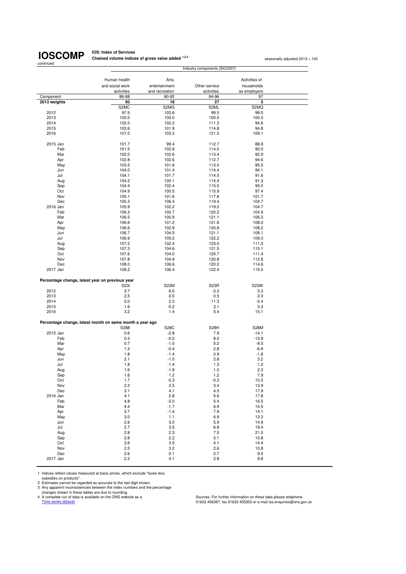**IOS: Index of Services Chained volume indices of gross value added <sup>1,2,3</sup> seasonally adjusted 2013 = 100<br>
<b>Chained volume indices of gross value added** <sup>1,2,3</sup>

|                           |                                                          |                | Industry components (SIC2007) |               |  |
|---------------------------|----------------------------------------------------------|----------------|-------------------------------|---------------|--|
|                           |                                                          |                |                               |               |  |
|                           | Human health                                             | Arts,          |                               | Activities of |  |
|                           | and social work                                          | entertainment  | Other service                 | households    |  |
|                           | activities                                               | and recreation | activities                    | as employers  |  |
| Component<br>2013 weights | 86-88                                                    | 90-93          | 94-96<br>27                   | 97<br>5       |  |
|                           | 93<br>S <sub>2</sub> M <sub>C</sub>                      | 18<br>S2MG     | S2ML                          | S2MQ          |  |
| 2012                      | 97.5                                                     | 103.6          | 99.5                          | 98.0          |  |
| 2013                      | 100.0                                                    | 100.0          | 100.0                         | 100.0         |  |
| 2014                      | 102.0                                                    | 102.2          | 111.3                         | 94.6          |  |
| 2015                      | 103.6                                                    | 101.9          | 114.8                         | 94.8          |  |
| 2016                      | 107.0                                                    | 103.3          | 121.0                         | 109.1         |  |
|                           |                                                          |                |                               |               |  |
| 2015 Jan                  | 101.7                                                    | 99.4           | 112.7                         | 88.9          |  |
| Feb                       | 101.5                                                    | 102.8          | 114.0                         | 90.0          |  |
| Mar                       | 102.0                                                    | 102.6          | 113.4                         | 92.9          |  |
| Apr                       | 102.8                                                    | 102.6          | 112.7                         | 94.6          |  |
| May                       | 103.5                                                    | 101.8          | 113.0                         | 95.5          |  |
| Jun                       | 104.0                                                    | 101.4          | 114.4                         | 94.1          |  |
| Jul                       | 104.1                                                    | 101.7          | 114.5                         | 91.6          |  |
| Aug                       | 104.2                                                    | 100.1          | 114.4                         | 91.3          |  |
| Sep                       | 104.4                                                    | 102.4          | 115.5                         | 95.0          |  |
| Oct                       | 104.9                                                    | 100.5          | 115.9                         | 97.4          |  |
| Nov                       | 105.1                                                    | 101.6          | 117.8                         | 101.7         |  |
| Dec                       | 105.3                                                    | 106.4          | 119.4                         | 104.7         |  |
| 2016 Jan                  | 105.9                                                    | 102.2          | 119.0                         | 104.7         |  |
| Feb                       | 106.3                                                    | 100.7          | 120.2                         | 104.9         |  |
| Mar                       | 106.5                                                    | 100.9          | 121.1                         | 106.3         |  |
| Apr                       | 106.6                                                    | 101.2          | 121.6                         | 108.0         |  |
| May                       | 106.6                                                    | 102.9          | 120.8                         | 108.2         |  |
| Jun                       | 106.7                                                    | 104.5          | 121.1                         | 108.1         |  |
| Jul                       | 106.9                                                    | 105.2          | 122.2                         | 109.3         |  |
| Aug                       | 107.2                                                    | 102.4          | 123.0                         | 111.0         |  |
| Sep                       | 107.3                                                    | 104.6          | 121.5                         | 110.1         |  |
| Oct                       | 107.6                                                    | 104.0          | 120.7                         | 111.4         |  |
| Nov                       | 107.8                                                    | 104.9          | 120.8                         | 112.8         |  |
| Dec                       | 108.0                                                    | 106.6          | 120.2                         | 114.6         |  |
| 2017 Jan                  | 108.2                                                    | 106.4          | 122.4                         | 115.0         |  |
|                           |                                                          |                |                               |               |  |
|                           | Percentage change, latest year on previous year          |                |                               |               |  |
|                           | <b>S23I</b>                                              | S23M           | S <sub>23</sub> R             | S23W          |  |
| 2012                      | 3.7                                                      | 6.0            | $-3.3$                        | 5.3           |  |
| 2013                      | 2.5                                                      | $-3.5$         | 0.5                           | 2.0           |  |
| 2014                      | 2.0                                                      | 2.2            | 11.3                          | $-5.4$        |  |
| 2015                      | 1.6                                                      | $-0.2$         | 3.1                           | 0.3           |  |
| 2016                      | 3.2                                                      | 1.4            | 5.4                           | 15.1          |  |
|                           |                                                          |                |                               |               |  |
|                           | Percentage change, latest month on same month a year ago |                |                               |               |  |
|                           | S288                                                     | <b>S28C</b>    | S28H                          | <b>S28M</b>   |  |
| 2015 Jan                  | 0.6                                                      | $-2.8$         | 7.9                           | $-14.1$       |  |
| Feb                       | 0.3                                                      | $-0.2$         | 8.0                           | $-13.9$       |  |
| Mar                       | 0.7                                                      | $-1.0$         | 5.2                           | $-9.5$        |  |
| Apr                       | 1.3                                                      | $-0.4$         | 2.8                           | $-6.9$        |  |
| May                       | 1.8                                                      | $-1.4$         | 0.9                           | $-1.8$        |  |
| Jun                       | 2.1                                                      | $-1.0$         | 2.8                           | 3.2           |  |
| Jul                       | 1.8                                                      | $-1.4$         | 1.3                           | 1.2           |  |
| Aug                       | 1.6                                                      | $-1.9$         | 1.0                           | 2.3           |  |
| Sep                       | 1.6                                                      | $1.2$          | 1.2                           | 7.9           |  |
| Oct                       | 1.7                                                      | $-0.3$         | $-0.3$                        | 10.5          |  |
| Nov                       | 2.2                                                      | 2.5            | 3.4                           | 13.9          |  |
| Dec                       | 3.1                                                      | 4.1            | 4.5                           | 17.9          |  |
| 2016 Jan                  | 4.1                                                      | 2.8            | 5.6                           | 17.8          |  |
| Feb                       | 4.8                                                      | $-2.0$         | 5.4                           | 16.5          |  |
| Mar                       | 4.4                                                      | $-1.7$         | 6.9                           | 14.5          |  |
| Apr                       | 3.7                                                      | $-1.4$         | 7.9                           | 14.1          |  |
| May                       | 3.0                                                      | 1.1            | 6.9                           | 13.3          |  |
| Jun                       | 2.6                                                      | 3.0            | 5.9                           | 14.9          |  |
| Jul                       | 2.7                                                      | 3.5            | 6.8                           | 19.4          |  |
| Aug                       | 2.8                                                      | 2.3            | 7.5                           | 21.5          |  |
| Sep                       | 2.8                                                      | 2.2            | 5.1                           | 15.8          |  |
| Oct                       | 2.6                                                      | 3.5            | 4.1                           | 14.4          |  |
| Nov                       | 2.5                                                      | 3.2            | 2.6                           | 10.8          |  |
| Dec                       | 2.6                                                      | 0.1            | 0.7                           | 9.5           |  |
| 2017 Jan                  | 2.2                                                      | 4.1            | 2.8                           | 9.8           |  |

1 Indices reflect values measured at basic prices, which exclude "taxes less

subsidies on products".<br>2 Estimates cannot be regarded as accurate to the last digit shown.<br>3 Any apparent inconsistencies between the index numbers and the percentage<br>4 A complete run of data is available on the ONS websi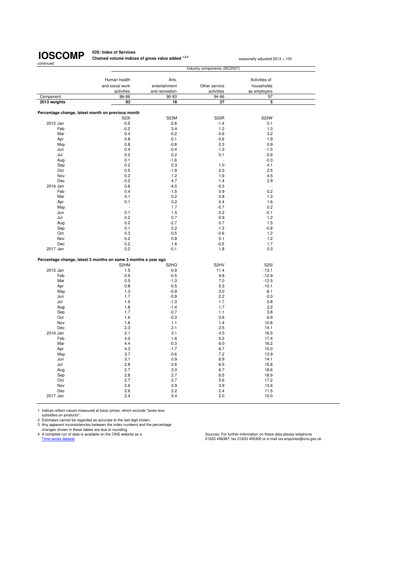**IOS: Index of Services Chained volume indices of gross value added <sup>1,2,3</sup> seasonally adjusted 2013 = 100** 

Human health **Arts,** Arts, Activities of Activities of Activities of Activities of Activities of Activities of  $\alpha$ and social work entertainment Other service households<br>activities and recreation activities as employers and recreation Component 86-88 90-93 94-96 97  **2013 weights 93 18 27 5 Percentage change, latest month on previous month** S23I S23M S23R S23W 2015 Jan -0.5 -0.5 -2.8 -1.4 0.1 Feb 1.3 1.2 1.3 1.4 1.2 1.3 Mar 6.4 -0.2 -0.6 3.2 Apr 0.8 -0.1 -0.6 1.9 May 0.8 -0.8 0.3 0.9  $\lambda$  Jun  $\lambda$  0.4 -0.4 -0.4 -1.2 -1.5 Jul 0.2 0.2 0.1 -2.6  $\textsf{Aug} \hspace{1.5cm} \textsf{0.1} \hspace{1.5cm} \textsf{1.6} \hspace{1.5cm} \textsf{1.3} \hspace{1.5cm} \textsf{2.3}$ Sep 0.2 2.3 1.0 4.1 Oct 0.5 -1.9 0.3 2.5 Nov 0.2 1.2 1.6 4.5 Dec 0.2 4.7 1.4 2.9 2016 Jan 0.6 -4.0 -0.3 - Feb 0.4 -1.5 0.9 0.2 Mar 0.1 0.2 0.8 1.3 Apr 0.1 0.2 0.4 1.6 May - 1.7 -0.7 0.2 Jun 0.1 1.5 0.2 -0.1  $\mu$  Jul 1.2  $\mu$  0.2 0.7 0.9 0.9 1.2 Aug 0.2 -2.7 0.7 1.5 Sep 0.1 2.2 -1.3 -0.8 Oct 0.3 -0.5 -0.6 1.2 Nov 0.2 0.8 0.1 1.2 Dec 0.2 1.6 -0.5 1.7 2017 Jan 0.2 -0.1 1.8 0.3 **Percentage change, latest 3 months on same 3 months a year ago** S2HM S2HQ S2HQ S2HV S2HM S2I2 2015 Jan 1.5 -0.9 1.5 -0.9 11.4 -13.1 Feb 0.9 -0.5 9.8 -12.9 Mar 0.5 -1.3 7.0 -12.5 Apr 0.8 -0.5 5.3 -10.1 May 1.3 -0.9 3.0 -6.1 Jun 1.7 -0.9 2.2 -2.0 Jul 1.9 -1.3 1.7 0.8 Aug 1.8 -1.4 1.7 2.2 Industry components (SIC2007) 1.8 1.4 1.7  $\mathsf{Sep}$  . The contract of  $1.7$  and  $-0.7$  . The contract of  $1.1$  . The contract of  $3.8$ Oct 6.9 and 1.6 1.6 -0.3 0.6 6.9 Nov 1.8 1.1 1.4 10.8 Dec 2.3 2.1 2.5 14.1 2016 Jan 3.1 3.1 3.1 3.1 4.5 3.1 3.1 4.5 Feb 4.0 1.6 5.2 17.4 Mar 16.2 and 16.2 and 16.2 and 16.2 and 16.2 and 16.2 and 16.2 and 16.2 and 16.2 and 16.2 and 16.2 and 16.2 and 16.2 and 16.2 and 16.2 and 16.2 and 16.2 and 16.2 and 16.2 and 16.2 and 16.2 and 16.2 and 16.2 and 16.2 and 16 Apr 4.3 -1.7 6.7 15.0 May 3.7 -0.6 7.2 13.9 Jun 3.1 0.9 6.9 14.1 Jul 2.8 2.6 6.5 15.8 Aug 2.7 3.0 6.7 18.6 Sep 2.8 2.7 6.5 18.9 Oct 2.7 2.7 5.6 17.2 Nov 2.6 2.9 3.9 13.6 Dec 2.6 2.2 2.4 11.5 2017 Jan 2.4 2.4 2.0 10.0

1 Indices reflect values measured at basic prices, which exclude "taxes less

subsidies on products".

2 Estimates cannot be regarded as accurate to the last digit shown. 3 Any apparent inconsistencies between the index numbers and the percentage

changes shown in these tables are due to rounding.<br>4 A complete run of data is available on the ONS website as a

Sources: For further information on these data please telephone Time series dataset **Disk and Series dataset** 01633 456387; fax 01633 455300 or e-mail ios.enquiries@ons.gov.uk